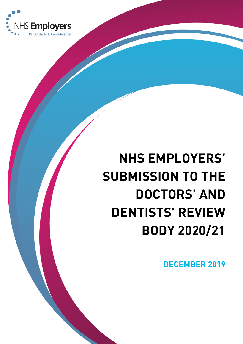

# **NHS EMPLOYERS' SUBMISSION TO THE DOCTORS' AND DENTISTS' REVIEW BODY 2020/21**

**DECEMBER 2019**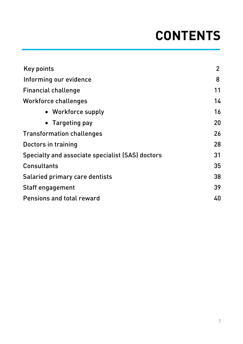# **CONTENTS**

| <b>Key points</b>                                | $\overline{2}$ |
|--------------------------------------------------|----------------|
| Informing our evidence                           | 8              |
| <b>Financial challenge</b>                       | 11             |
| <b>Workforce challenges</b>                      | 14             |
| • Workforce supply                               | 16             |
| Targeting pay                                    | 20             |
| <b>Transformation challenges</b>                 | 26             |
| Doctors in training                              | 28             |
| Specialty and associate specialist (SAS) doctors |                |
| <b>Consultants</b>                               |                |
| Salaried primary care dentists                   |                |
| <b>Staff engagement</b>                          |                |
| <b>Pensions and total reward</b>                 |                |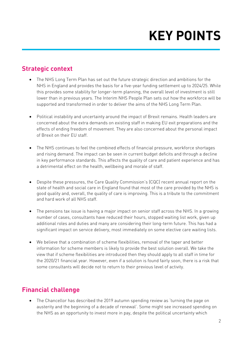# **KEY POINTS**

#### **Strategic context**

- The NHS Long Term Plan has set out the future strategic direction and ambitions for the NHS in England and provides the basis for a five-year funding settlement up to 2024/25. While this provides some stability for longer-term planning, the overall level of investment is still lower than in previous years. The Interim NHS People Plan sets out how the workforce will be supported and transformed in order to deliver the aims of the NHS Long Term Plan.
- Political instability and uncertainty around the impact of Brexit remains. Health leaders are concerned about the extra demands on existing staff in making EU exit preparations and the effects of ending freedom of movement. They are also concerned about the personal impact of Brexit on their EU staff.
- The NHS continues to feel the combined effects of financial pressure, workforce shortages and rising demand. The impact can be seen in current budget deficits and through a decline in key performance standards. This affects the quality of care and patient experience and has a detrimental effect on the health, wellbeing and morale of staff.
- Despite these pressures, the Care Quality Commission's (CQC) recent annual report on the state of health and social care in England found that most of the care provided by the NHS is good quality and, overall, the quality of care is improving. This is a tribute to the commitment and hard work of all NHS staff.
- The pensions tax issue is having a major impact on senior staff across the NHS. In a growing number of cases, consultants have reduced their hours, stopped waiting list work, given up additional roles and duties and many are considering their long-term future. This has had a significant impact on service delivery, most immediately on some elective care waiting lists.
- We believe that a combination of scheme flexibilities, removal of the taper and better information for scheme members is likely to provide the best solution overall. We take the view that if scheme flexibilities are introduced then they should apply to all staff in time for the 2020/21 financial year. However, even if a solution is found fairly soon, there is a risk that some consultants will decide not to return to their previous level of activity.

## **Financial challenge**

• The Chancellor has described the 2019 autumn spending review as 'turning the page on austerity and the beginning of a decade of renewal'. Some might see increased spending on the NHS as an opportunity to invest more in pay, despite the political uncertainty which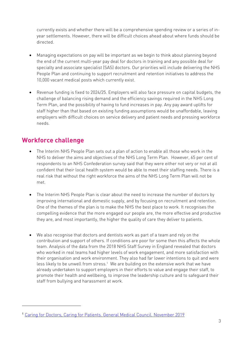currently exists and whether there will be a comprehensive spending review or a series of inyear settlements. However, there will be difficult choices ahead about where funds should be directed.

- Managing expectations on pay will be important as we begin to think about planning beyond the end of the current multi-year pay deal for doctors in training and any possible deal for specialty and associate specialist (SAS) doctors. Our priorities will include delivering the NHS People Plan and continuing to support recruitment and retention initiatives to address the 10,000 vacant medical posts which currently exist.
- Revenue funding is fixed to 2024/25. Employers will also face pressure on capital budgets, the challenge of balancing rising demand and the efficiency savings required in the NHS Long Term Plan, and the possibility of having to fund increases in pay. Any pay award uplifts for staff higher than that based on existing funding assumptions would be unaffordable, leaving employers with difficult choices on service delivery and patient needs and pressing workforce needs.

#### **Workforce challenge**

- The Interim NHS People Plan sets out a plan of action to enable all those who work in the NHS to deliver the aims and objectives of the NHS Long Term Plan. However, 65 per cent of respondents to an NHS Confederation survey said that they were either not very or not at all confident that their local health system would be able to meet their staffing needs. There is a real risk that without the right workforce the aims of the NHS Long Term Plan will not be met.
- The Interim NHS People Plan is clear about the need to increase the number of doctors by improving international and domestic supply, and by focusing on recruitment and retention. One of the themes of the plan is to make the NHS the best place to work. It recognises the compelling evidence that the more engaged our people are, the more effective and productive they are, and most importantly, the higher the quality of care they deliver to patients.
- We also recognise that doctors and dentists work as part of a team and rely on the contribution and support of others. If conditions are poor for some then this affects the whole team. Analysis of the data from the 2018 NHS Staff Survey in England revealed that doctors who worked in real teams had higher levels of work engagement, and more satisfaction with their organisation and work environment. They also had far lower intentions to quit and were less likely to be unwell from stress.<sup>1</sup> We are building on the extensive work that we have already undertaken to support employers in their efforts to value and engage their staff, to promote their health and wellbeing, to improve the leadership culture and to safeguard their staff from bullying and harassment at work.

<sup>1</sup> Caring for Doctors, Caring for Patients. General Medical Council. November 2019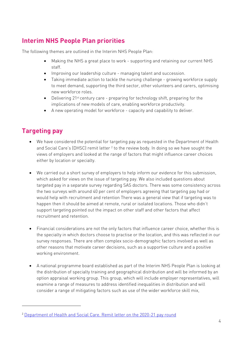## **Interim NHS People Plan priorities**

The following themes are outlined in the Interim NHS People Plan:

- Making the NHS a great place to work supporting and retaining our current NHS staff.
- Improving our leadership culture managing talent and succession.
- Taking immediate action to tackle the nursing challenge growing workforce supply to meet demand, supporting the third sector, other volunteers and carers, optimising new workforce roles.
- Delivering 21<sup>st</sup> century care preparing for technology shift, preparing for the implications of new models of care, enabling workforce productivity.
- A new operating model for workforce capacity and capability to deliver.

### **Targeting pay**

- We have considered the potential for targeting pay as requested in the Department of Health and Social Care's (DHSC) remit letter <sup>2</sup> to the review body. In doing so we have sought the views of employers and looked at the range of factors that might influence career choices either by location or specialty.
- We carried out a short survey of employers to help inform our evidence for this submission, which asked for views on the issue of targeting pay. We also included questions about targeted pay in a separate survey regarding SAS doctors. There was some consistency across the two surveys with around 40 per cent of employers agreeing that targeting pay had or would help with recruitment and retention There was a general view that if targeting was to happen then it should be aimed at remote, rural or isolated locations. Those who didn't support targeting pointed out the impact on other staff and other factors that affect recruitment and retention.
- Financial considerations are not the only factors that influence career choice, whether this is the specialty in which doctors choose to practise or the location, and this was reflected in our survey responses. There are often complex socio-demographic factors involved as well as other reasons that motivate career decisions, such as a supportive culture and a positive working environment.
- A national programme board established as part of the Interim NHS People Plan is looking at the distribution of specialty training and geographical distribution and will be informed by an option appraisal working group. This group, which will include employer representatives, will examine a range of measures to address identified inequalities in distribution and will consider a range of mitigating factors such as use of the wider workforce skill mix,

<sup>2</sup> Department of Health and Social Care. Remit letter on the 2020-21 pay round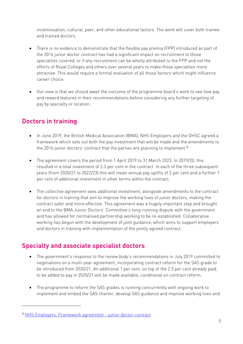incentivisation, cultural, peer, and other educational factors. The work will cover both trainee and trained doctors.

- There is no evidence to demonstrate that the flexible pay premia (FPP) introduced as part of the 2016 junior doctor contract has had a significant impact on recruitment to those specialties covered, or if any recruitment can be wholly attributed to the FPP and not the efforts of Royal Colleges and others over several years to make those specialties more attractive. This would require a formal evaluation of all those factors which might influence career choice.
- Our view is that we should await the outcome of the programme board's work to see how pay and reward features in their recommendations before considering any further targeting of pay by specialty or location.

## **Doctors in training**

- In June 2019, the British Medical Association (BMA), NHS Employers and the DHSC agreed a framework which sets out both the pay investment that will be made and the amendments to the 2016 junior doctors' contract that the parties are planning to implement.<sup>3</sup>
- The agreement covers the period from 1 April 2019 to 31 March 2023. In 2019/20, this resulted in a total investment of 2.3 per cent in the contract. In each of the three subsequent years (from 2020/21 to 2022/23) this will mean annual pay uplifts of 2 per cent and a further 1 per cent of additional investment in other terms within the contract.
- The collective agreement sees additional investment, alongside amendments to the contract for doctors in training that aim to improve the working lives of junior doctors, making the contract safer and more effective. This agreement was a hugely important step and brought an end to the BMA Junior Doctors' Committee's long-running dispute with the government and has allowed for normalised partnership working to be re-established. Collaborative working has begun with the development of joint guidance, which aims to support employers and doctors in training with implementation of the jointly agreed contract.

#### **Specialty and associate specialist doctors**

- The government's response to the review body's recommendations in July 2019 committed to negotiations on a multi-year agreement, incorporating contract reform for the SAS grade to be introduced from 2020/21. An additional 1 per cent, on top of the 2.5 per cent already paid, to be added to pay in 2020/21 will be made available, conditional on contract reform.
- The programme to reform the SAS grades is running concurrently with ongoing work to implement and embed the SAS charter, develop SAS guidance and improve working lives and

<sup>3</sup> NHS Employers. Framework agreement - junior doctor contract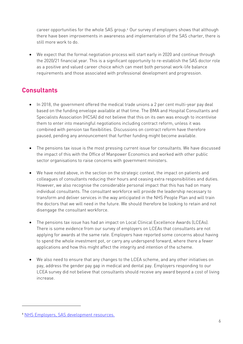career opportunities for the whole SAS group.4 Our survey of employers shows that although there have been improvements in awareness and implementation of the SAS charter, there is still more work to do.

• We expect that the formal negotiation process will start early in 2020 and continue through the 2020/21 financial year. This is a significant opportunity to re-establish the SAS doctor role as a positive and valued career choice which can meet both personal work-life balance requirements and those associated with professional development and progression.

### **Consultants**

- In 2018, the government offered the medical trade unions a 2 per cent multi-year pay deal based on the funding envelope available at that time. The BMA and Hospital Consultants and Specialists Association (HCSA) did not believe that this on its own was enough to incentivise them to enter into meaningful negotiations including contract reform, unless it was combined with pension tax flexibilities. Discussions on contract reform have therefore paused, pending any announcement that further funding might become available.
- The pensions tax issue is the most pressing current issue for consultants. We have discussed the impact of this with the Office of Manpower Economics and worked with other public sector organisations to raise concerns with government ministers.
- We have noted above, in the section on the strategic context, the impact on patients and colleagues of consultants reducing their hours and ceasing extra responsibilities and duties. However, we also recognise the considerable personal impact that this has had on many individual consultants. The consultant workforce will provide the leadership necessary to transform and deliver services in the way anticipated in the NHS People Plan and will train the doctors that we will need in the future. We should therefore be looking to retain and not disengage the consultant workforce.
- The pensions tax issue has had an impact on Local Clinical Excellence Awards (LCEAs). There is some evidence from our survey of employers on LCEAs that consultants are not applying for awards at the same rate. Employers have reported some concerns about having to spend the whole investment pot, or carry any underspend forward, where there a fewer applications and how this might affect the integrity and intention of the scheme.
- We also need to ensure that any changes to the LCEA scheme, and any other initiatives on pay, address the gender pay gap in medical and dental pay. Employers responding to our LCEA survey did not believe that consultants should receive any award beyond a cost of living increase.

<sup>4</sup> NHS Employers, SAS development resources.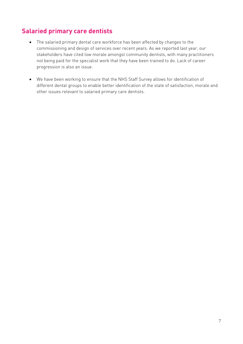### **Salaried primary care dentists**

- The salaried primary dental care workforce has been affected by changes to the commissioning and design of services over recent years. As we reported last year, our stakeholders have cited low morale amongst community dentists, with many practitioners not being paid for the specialist work that they have been trained to do. Lack of career progression is also an issue.
- We have been working to ensure that the NHS Staff Survey allows for identification of different dental groups to enable better identification of the state of satisfaction, morale and other issues relevant to salaried primary care dentists.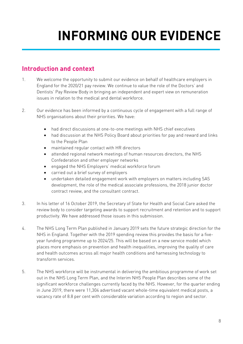# **INFORMING OUR EVIDENCE**

### **Introduction and context**

- 1. We welcome the opportunity to submit our evidence on behalf of healthcare employers in England for the 2020/21 pay review. We continue to value the role of the Doctors' and Dentists' Pay Review Body in bringing an independent and expert view on remuneration issues in relation to the medical and dental workforce.
- 2. Our evidence has been informed by a continuous cycle of engagement with a full range of NHS organisations about their priorities. We have:
	- had direct discussions at one-to-one meetings with NHS chief executives
	- had discussion at the NHS Policy Board about priorities for pay and reward and links to the People Plan
	- maintained regular contact with HR directors
	- attended regional network meetings of human resources directors, the NHS Confederation and other employer networks
	- engaged the NHS Employers' medical workforce forum
	- carried out a brief survey of employers
	- undertaken detailed engagement work with employers on matters including SAS development, the role of the medical associate professions, the 2018 junior doctor contract review, and the consultant contract.
- 3. In his letter of 16 October 2019, the Secretary of State for Health and Social Care asked the review body to consider targeting awards to support recruitment and retention and to support productivity. We have addressed those issues in this submission.
- 4. The NHS Long Term Plan published in January 2019 sets the future strategic direction for the NHS in England. Together with the 2019 spending review this provides the basis for a fiveyear funding programme up to 2024/25. This will be based on a new service model which places more emphasis on prevention and health inequalities, improving the quality of care and health outcomes across all major health conditions and harnessing technology to transform services.
- 5. The NHS workforce will be instrumental in delivering the ambitious programme of work set out in the NHS Long Term Plan, and the Interim NHS People Plan describes some of the significant workforce challenges currently faced by the NHS. However, for the quarter ending in June 2019, there were 11,304 advertised vacant whole-time equivalent medical posts, a vacancy rate of 8.8 per cent with considerable variation according to region and sector.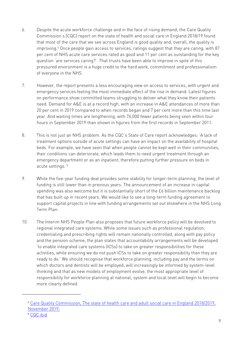- 6. Despite the acute workforce challenge and in the face of rising demand, the Care Quality Commission's (CQC) report on the state of health and social care in England 2018/19 found that most of the care that we see across England is good quality and, overall, the quality is improving.<sup>5</sup> Once people gain access to services, ratings suggest that they are caring, with 87 per cent of NHS acute care services rated as good and 11 per cent as outstanding for the key question 'are services caring?'. That trusts have been able to improve in spite of this pressured environment is a huge credit to the hard work, commitment and professionalism of everyone in the NHS.
- 7. However, the report presents a less encouraging view on access to services, with urgent and emergency services feeling the most immediate effect of the rise in demand. Latest figures on performance show committed teams struggling to deliver what they know their patients need. Demand for A&E is at a record high, with an increase in A&E attendances of more than 20 per cent in 2019 compared to when records began and 7 per cent more than this time last year. And waiting times are lengthening, with 76,000 fewer patients being seen within four hours in September 2019 than shown in figures from the first records in September 2011.
- 8. This is not just an NHS problem. As the CQC's State of Care report acknowledges: 'A lack of treatment options outside of acute settings can have an impact on the availability of hospital beds. For example, we have seen that when people cannot be kept well in their communities, their conditions can deteriorate, which leads them to need urgent treatment through an emergency department or as an inpatient, therefore putting further pressure on beds in acute settings.'6
- 9. While the five-year funding deal provides some stability for longer-term planning, the level of funding is still lower than in previous years. The announcement of an increase in capital spending was also welcome but it is substantially short of the £6 billion maintenance backlog that has built up in recent years. We would like to see a long-term funding agreement to support capital projects in line with funding arrangements set out elsewhere in the NHS Long Term Plan.
- 10. The Interim NHS People Plan also proposes that future workforce policy will be devolved to regional integrated care systems. While some issues such as professional regulation, credentialing and prescribing rights will remain nationally controlled, along with pay policy and the pension scheme, the plan states that accountability arrangements will be developed 'to enable integrated care systems (ICSs) to take on greater responsibilities for these activities, while ensuring we do not push ICSs to take on greater responsibility than they are ready to do.' We should recognise that workforce planning, including pay and the terms on which doctors and dentists will be employed, will increasingly be informed by system-level thinking and that as new models of employment evolve, the most appropriate level of responsibility for workforce planning at national, system and local level will begin to become more clearly defined.

<sup>5</sup> Care Quality Commission, The state of health care and adult social care in England 2018/2019, November 2019.

<sup>6</sup> CQC ibid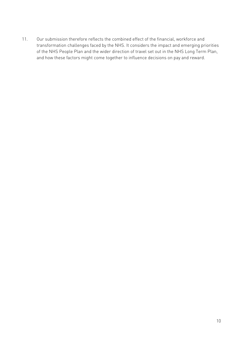11. Our submission therefore reflects the combined effect of the financial, workforce and transformation challenges faced by the NHS. It considers the impact and emerging priorities of the NHS People Plan and the wider direction of travel set out in the NHS Long Term Plan, and how these factors might come together to influence decisions on pay and reward.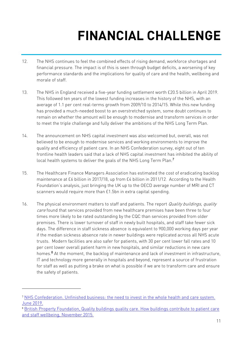# **FINANCIAL CHALLENGE**

- 12. The NHS continues to feel the combined effects of rising demand, workforce shortages and financial pressure. The impact is of this is seen through budget deficits, a worsening of key performance standards and the implications for quality of care and the health, wellbeing and morale of staff.
- 13. The NHS in England received a five-year funding settlement worth £20.5 billion in April 2019. This followed ten years of the lowest funding increases in the history of the NHS, with an average of 1.1 per cent real-terms growth from 2009/10 to 2014/15. While this new funding has provided a much-needed boost to an overstretched system, some doubt continues to remain on whether the amount will be enough to modernise and transform services in order to meet the triple challenge and fully deliver the ambitions of the NHS Long Term Plan.
- 14. The announcement on NHS capital investment was also welcomed but, overall, was not believed to be enough to modernise services and working environments to improve the quality and efficiency of patient care. In an NHS Confederation survey, eight out of ten frontline health leaders said that a lack of NHS capital investment has inhibited the ability of local health systems to deliver the goals of the NHS Long Term Plan.<sup>7</sup>
- 15. The Healthcare Finance Managers Association has estimated the cost of eradicating backlog maintenance at £6 billion in 2017/18, up from £4 billion in 2011/12. According to the Health Foundation's analysis, just bringing the UK up to the OECD average number of MRI and CT scanners would require more than £1.5bn in extra capital spending.
- 16. The physical environment matters to staff and patients. The report *Quality buildings, quality* care found that services provided from new healthcare premises have been three to four times more likely to be rated outstanding by the CQC than services provided from older premises. There is lower turnover of staff in newly built hospitals, and staff take fewer sick days. The difference in staff sickness absence is equivalent to 900,000 working days per year if the median sickness absence rate in newer buildings were replicated across all NHS acute trusts. Modern facilities are also safer for patients, with 30 per cent lower fall rates and 10 per cent lower overall patient harm in new hospitals, and similar reductions in new care homes.<sup>8</sup> At the moment, the backlog of maintenance and lack of investment in infrastructure, IT and technology more generally in hospitals and beyond, represent a source of frustration for staff as well as putting a brake on what is possible if we are to transform care and ensure the safety of patients.

<sup>7</sup> NHS Confederation. Unfinished business: the need to invest in the whole health and care system. June 2019.

<sup>8</sup> British Property Foundation, Quality buildings quality care. How buildings contribute to patient care and staff wellbeing, November 2015.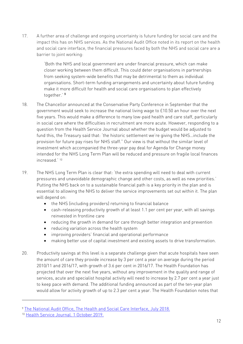17. A further area of challenge and ongoing uncertainty is future funding for social care and the impact this has on NHS services. As the National Audit Office noted in its report on the health and social care interface, the financial pressures faced by both the NHS and social care are a barrier to joint working:

> 'Both the NHS and local government are under financial pressure, which can make closer working between them difficult. This could deter organisations in partnerships from seeking system-wide benefits that may be detrimental to them as individual organisations. Short-term funding arrangements and uncertainty about future funding make it more difficult for health and social care organisations to plan effectively together.' <sup>9</sup>

- 18. The Chancellor announced at the Conservative Party Conference in September that the government would seek to increase the national living wage to £10.50 an hour over the next five years. This would make a difference to many low-paid health and care staff, particularly in social care where the difficulties in recruitment are more acute. However, responding to a question from the Health Service Journal about whether the budget would be adjusted to fund this, the Treasury said that: 'the historic settlement we're giving the NHS…include the provision for future pay rises for NHS staff." Our view is that without the similar level of investment which accompanied the three-year pay deal for Agenda for Change money intended for the NHS Long Term Plan will be reduced and pressure on fragile local finances increased.' 10
- 19. The NHS Long Term Plan is clear that: 'the extra spending will need to deal with current pressures and unavoidable demographic change and other costs, as well as new priorities.' Putting the NHS back on to a sustainable financial path is a key priority in the plan and is essential to allowing the NHS to deliver the service improvements set out within it. The plan will depend on:
	- the NHS (including providers) returning to financial balance
	- cash-releasing productivity growth of at least 1.1 per cent per year, with all savings reinvested in frontline care
	- reducing the growth in demand for care through better integration and prevention
	- reducing variation across the health system
	- improving providers' financial and operational performance
	- making better use of capital investment and existing assets to drive transformation.
- 20. Productivity savings at this level is a separate challenge given that acute hospitals have seen the amount of care they provide increase by 3 per cent a year on average during the period 2010/11 and 2016/17, with growth of 3.6 per cent in 2016/17. The Health Foundation has projected that over the next five years, without any improvement in the quality and range of services, acute and specialist hospital activity will need to increase by 2.7 per cent a year just to keep pace with demand. The additional funding announced as part of the ten-year plan would allow for activity growth of up to 2.3 per cent a year. The Health Foundation notes that

<sup>9</sup> The National Audit Office, The Health and Social Care Interface, July 2018.

<sup>10</sup> Health Service Journal. 1 October 2019.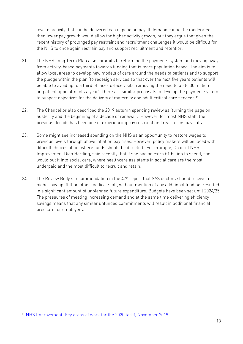level of activity that can be delivered can depend on pay. If demand cannot be moderated, then lower pay growth would allow for higher activity growth, but they argue that given the recent history of prolonged pay restraint and recruitment challenges it would be difficult for the NHS to once again restrain pay and support recruitment and retention.

- 21. The NHS Long Term Plan also commits to reforming the payments system and moving away from activity-based payments towards funding that is more population based. The aim is to allow local areas to develop new models of care around the needs of patients and to support the pledge within the plan 'to redesign services so that over the next five years patients will be able to avoid up to a third of face-to-face visits, removing the need to up to 30 million outpatient appointments a year'. There are similar proposals to develop the payment system to support objectives for the delivery of maternity and adult critical care services.<sup>11</sup>
- 22. The Chancellor also described the 2019 autumn spending review as 'turning the page on austerity and the beginning of a decade of renewal'. However, for most NHS staff, the previous decade has been one of experiencing pay restraint and real-terms pay cuts.
- 23. Some might see increased spending on the NHS as an opportunity to restore wages to previous levels through above inflation pay rises. However, policy makers will be faced with difficult choices about where funds should be directed. For example, Chair of NHS Improvement Dido Harding, said recently that if she had an extra £1 billion to spend, she would put it into social care, where healthcare assistants in social care are the most underpaid and the most difficult to recruit and retain.
- 24. The Review Body's recommendation in the 47<sup>th</sup> report that SAS doctors should receive a higher pay uplift than other medical staff, without mention of any additional funding, resulted in a significant amount of unplanned future expenditure. Budgets have been set until 2024/25. The pressures of meeting increasing demand and at the same time delivering efficiency savings means that any similar unfunded commitments will result in additional financial pressure for employers.

<sup>11</sup> NHS Improvement, Key areas of work for the 2020 tariff, November 2019.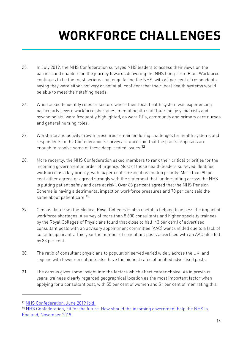# **WORKFORCE CHALLENGES**

- 25. In July 2019, the NHS Confederation surveyed NHS leaders to assess their views on the barriers and enablers on the journey towards delivering the NHS Long Term Plan. Workforce continues to be the most serious challenge facing the NHS, with 65 per cent of respondents saying they were either not very or not at all confident that their local health systems would be able to meet their staffing needs.
- 26. When asked to identify roles or sectors where their local health system was experiencing particularly severe workforce shortages, mental health staff (nursing, psychiatrists and psychologists) were frequently highlighted, as were GPs, community and primary care nurses and general nursing roles.
- 27. Workforce and activity growth pressures remain enduring challenges for health systems and respondents to the Confederation's survey are uncertain that the plan's proposals are enough to resolve some of these deep-seated issues.<sup>12</sup>
- 28. More recently, the NHS Confederation asked members to rank their critical priorities for the incoming government in order of urgency. Most of those health leaders surveyed identified workforce as a key priority, with 54 per cent ranking it as the top priority. More than 90 per cent either agreed or agreed strongly with the statement that 'understaffing across the NHS is putting patient safety and care at risk'. Over 83 per cent agreed that the NHS Pension Scheme is having a detrimental impact on workforce pressures and 70 per cent said the same about patient care.<sup>13</sup>
- 29. Census data from the Medical Royal Colleges is also useful in helping to assess the impact of workforce shortages. A survey of more than 8,600 consultants and higher specialty trainees by the Royal Colleges of Physicians found that close to half (43 per cent) of advertised consultant posts with an advisory appointment committee (AAC) went unfilled due to a lack of suitable applicants. This year the number of consultant posts advertised with an AAC also fell by 33 per cent.
- 30. The ratio of consultant physicians to population served varied widely across the UK, and regions with fewer consultants also have the highest rates of unfilled advertised posts.
- 31. The census gives some insight into the factors which affect career choice. As in previous years, trainees clearly regarded geographical location as the most important factor when applying for a consultant post, with 55 per cent of women and 51 per cent of men rating this

<sup>12</sup> NHS Confederation. June 2019 ibid.

<sup>13</sup> NHS Confederation, Fit for the future. How should the incoming government help the NHS in England, November 2019.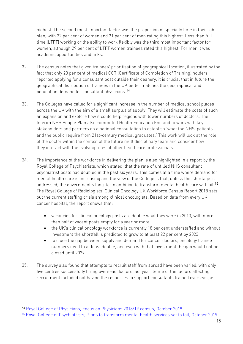highest. The second most important factor was the proportion of specialty time in their job plan, with 22 per cent of women and 31 per cent of men rating this highest. Less than full time (LTFT) working or the ability to work flexibly was the third most important factor for women, although 29 per cent of LTFT women trainees rated this highest. For men it was academic opportunities and links.

- 32. The census notes that given trainees' prioritisation of geographical location, illustrated by the fact that only 23 per cent of medical CCT (Certificate of Completion of Training) holders reported applying for a consultant post outside their deanery, it is crucial that in future the geographical distribution of trainees in the UK better matches the geographical and population demand for consultant physicians.<sup>14</sup>
- 33. The Colleges have called for a significant increase in the number of medical school places across the UK with the aim of a small surplus of supply. They will estimate the costs of such an expansion and explore how it could help regions with lower numbers of doctors. The Interim NHS People Plan also committed Health Education England to work with key stakeholders and partners on a national consultation to establish 'what the NHS, patients and the public require from 21st-century medical graduates.' This work will look at the role of the doctor within the context of the future multidisciplinary team and consider how they interact with the evolving roles of other healthcare professionals.
- 34. The importance of the workforce in delivering the plan is also highlighted in a report by the Royal College of Psychiatrists, which stated that the rate of unfilled NHS consultant psychiatrist posts had doubled in the past six years. This comes at a time where demand for mental health care is increasing and the view of the College is that, unless this shortage is addressed, the government's long-term ambition to transform mental health care will fail.<sup>15</sup> The Royal College of Radiologists' Clinical Oncology UK Workforce Census Report 2018 sets out the current staffing crisis among clinical oncologists. Based on data from every UK cancer hospital, the report shows that:
	- vacancies for clinical oncology posts are double what they were in 2013, with more than half of vacant posts empty for a year or more
	- the UK's clinical oncology workforce is currently 18 per cent understaffed and without investment the shortfall is predicted to grow to at least 22 per cent by 2023
	- to close the gap between supply and demand for cancer doctors, oncology trainee numbers need to at least double, and even with that investment the gap would not be closed until 2029.
- 35. The survey also found that attempts to recruit staff from abroad have been varied, with only five centres successfully hiring overseas doctors last year. Some of the factors affecting recruitment included not having the resources to support consultants trained overseas, as

<sup>14</sup> Royal College of Physicians, Focus on Physicians 2018/19 census, October 2019.

<sup>15</sup> Royal College of Psychiatrists, Plans to transform mental health services set to fail, October 2019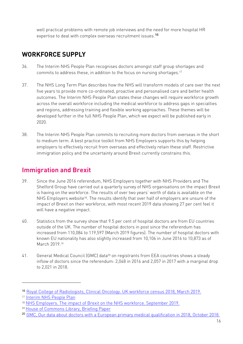well practical problems with remote job interviews and the need for more hospital HR expertise to deal with complex overseas recruitment issues.<sup>16</sup>

## **WORKFORCE SUPPLY**

- 36. The Interim NHS People Plan recognises doctors amongst staff group shortages and commits to address these, in addition to the focus on nursing shortages.<sup>17</sup>
- 37. The NHS Long Term Plan describes how the NHS will transform models of care over the next five years to provide more co-ordinated, proactive and personalised care and better health outcomes. The Interim NHS People Plan states these changes will require workforce growth across the overall workforce including the medical workforce to address gaps in specialties and regions, addressing training and flexible working approaches. These themes will be developed further in the full NHS People Plan, which we expect will be published early in 2020.
- 38. The Interim NHS People Plan commits to recruiting more doctors from overseas in the short to medium term. A best practice toolkit from NHS Employers supports this by helping employers to effectively recruit from overseas and effectively retain these staff. Restrictive immigration policy and the uncertainty around Brexit currently constrains this.

### **Immigration and Brexit**

- 39. Since the June 2016 referendum, NHS Employers together with NHS Providers and The Shelford Group have carried out a quarterly survey of NHS organisations on the impact Brexit is having on the workforce. The results of over two years' worth of data is available on the NHS Employers website<sup>18</sup>. The results identify that over half of employers are unsure of the impact of Brexit on their workforce, with most recent 2019 data showing 27 per cent feel it will have a negative impact.
- 40. Statistics from the survey show that 9.5 per cent of hospital doctors are from EU countries outside of the UK. The number of hospital doctors in post since the referendum has increased from 110,084 to 119,597 (March 2019 figures). The number of hospital doctors with known EU nationality has also slightly increased from 10,106 in June 2016 to 10,873 as of March 2019.19
- 41. General Medical Council (GMC) data<sup>20</sup> on registrants from EEA countries shows a steady inflow of doctors since the referendum: 2,048 in 2016 and 2,057 in 2017 with a marginal drop to 2,021 in 2018.

<sup>16</sup> Royal College of Radiologists, Clinical Oncology. UK workforce census 2018, March 2019.

<sup>17</sup> Interim NHS People Plan

<sup>18</sup> NHS Employers. The impact of Brexit on the NHS workforce. September 2019.

<sup>19</sup> House of Commons Library, Briefing Paper

<sup>&</sup>lt;sup>20</sup> GMC, Our data about doctors with a European primary medical qualification in 2018, October 2018.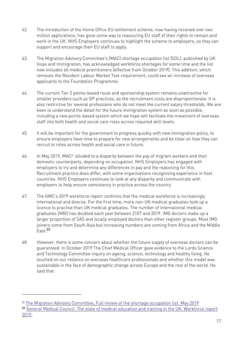- 42. The introduction of the Home Office EU settlement scheme, now having received over two million applications, has gone some way to reassuring EU staff of their rights to remain and work in the UK. NHS Employers continues to highlight the scheme to employers, so they can support and encourage their EU staff to apply.
- 43. The Migration Advisory Committee's (MAC) shortage occupation list (SOL), published by UK Visas and Immigration, has acknowledged workforce shortages for some time and the list now includes all medical practitioners (effective from October 2019). This addition, which removes the Resident Labour Market Test requirement, could see an increase of overseas applicants to the Foundation Programme.
- 44. The current Tier 2 points-based route and sponsorship system remains unattractive for smaller providers such as GP practices, as the recruitment costs are disproportionate. It is also restrictive for several professions who do not meet the current salary thresholds. We are keen to understand the detail for the future immigration system as soon as possible, including a new points-based system which we hope will facilitate the movement of overseas staff into both health and social care roles across required skill levels.
- 45. It will be important for the government to progress quickly with new immigration policy, to ensure employers have time to prepare for new arrangements and be clear on how they can recruit to roles across health and social care in future.
- 46. In May 2019, MAC21 alluded to a disparity between the pay of migrant workers and their domestic counterparts, depending on occupation. NHS Employers has engaged with employers to try and determine any differences in pay and the reasoning for this. Recruitment practice does differ, with some organisations recognising experience in host countries. NHS Employers continues to look at any disparity and communicate with employers to help ensure consistency in practice across the country.
- 47. The GMC's 2019 workforce report confirms that the medical workforce is increasingly international and diverse. For the first time, more non-UK medical graduates took up a licence to practise than UK medical graduates. The number of international medical graduates (IMG) has doubled each year between 2107 and 2019. IMG doctors make up a larger proportion of SAS and locally employed doctors than other register groups. Most IMG joiners come from South Asia but increasing numbers are coming from Africa and the Middle  $F$ ast.<sup>22</sup>
- 48. However, there is some concern about whether the future supply of overseas doctors can be guaranteed. In October 2019 The Chief Medical Officer gave evidence to the Lords Science and Technology Committee inquiry on ageing, science, technology and healthy living. He touched on our reliance on overseas healthcare professionals and whether this model was sustainable in the face of demographic change across Europe and the rest of the world. He said that:

<sup>&</sup>lt;sup>21</sup> The Migration Advisory Committee, Full review of the shortage occupation list. May 2019

<sup>22</sup> General Medical Council. The state of medical education and training in the UK. Workforce report 2019.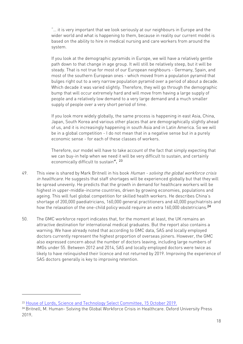"… it is very important that we look seriously at our neighbours in Europe and the wider world and what is happening to them, because in reality our current model is based on the ability to hire in medical nursing and care workers from around the system.

If you look at the demographic pyramids in Europe, we will have a relatively gentle path down to that change in age group. It will still be relatively steep, but it will be steady. That is not true for most of our European neighbours - Germany, Spain, and most of the southern European ones - which moved from a population pyramid that bulges right out to a very narrow population pyramid over a period of about a decade. Which decade it was varied slightly. Therefore, they will go through the demographic bump that will occur extremely hard and will move from having a large supply of people and a relatively low demand to a very large demand and a much smaller supply of people over a very short period of time.

If you look more widely globally, the same process is happening in east Asia, China, Japan, South Korea and various other places that are demographically slightly ahead of us, and it is increasingly happening in south Asia and in Latin America. So we will be in a global competition - I do not mean that in a negative sense but in a purely economic sense - for each of these classes of workers.

Therefore, our model will have to take account of the fact that simply expecting that we can buy-in help when we need it will be very difficult to sustain, and certainly economically difficult to sustain". 23

- 49. This view is shared by Mark Britnell in his book Human solving the global workforce crisis in healthcare. He suggests that staff shortages will be experienced globally but that they will be spread unevenly. He predicts that the growth in demand for healthcare workers will be highest in upper-middle-income countries, driven by growing economies, populations and ageing. This will fuel global competition for skilled health workers. He describes China's shortage of 200,000 paediatricians, 160,000 general practitioners and 40,000 psychiatrists and how the relaxation of the one-child policy would require an extra 160,000 obstetricians.<sup>24</sup>
- 50. The GMC workforce report indicates that, for the moment at least, the UK remains an attractive destination for international medical graduates. But the report also contains a warning. We have already noted that according to GMC data, SAS and locally employed doctors currently represent the highest proportion of overseas joiners. However, the GMC also expressed concern about the number of doctors leaving, including large numbers of IMGs under 55. Between 2012 and 2014, SAS and locally employed doctors were twice as likely to have relinquished their licence and not returned by 2019. Improving the experience of SAS doctors generally is key to improving retention.

<sup>&</sup>lt;sup>23</sup> House of Lords, Science and Technology Select Committee, 15 October 2019.

<sup>24</sup> Britnell, M. Human- Solving the Global Workforce Crisis in Healthcare. Oxford University Press 2019.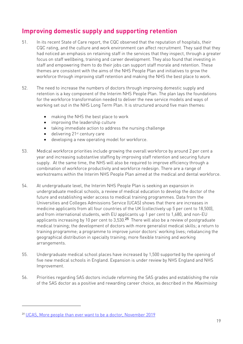### **Improving domestic supply and supporting retention**

- 51. In its recent State of Care report, the CQC observed that the reputation of hospitals, their CQC rating, and the culture and work environment can affect recruitment. They said that they had noticed an emphasis on retaining staff in the services that they inspect, through a greater focus on staff wellbeing, training and career development. They also found that investing in staff and empowering them to do their jobs can support staff morale and retention. These themes are consistent with the aims of the NHS People Plan and initiatives to grow the workforce through improving staff retention and making the NHS the best place to work.
- 52. The need to increase the numbers of doctors through improving domestic supply and retention is a key component of the Interim NHS People Plan. The plan lays the foundations for the workforce transformation needed to deliver the new service models and ways of working set out in the NHS Long Term Plan. It is structured around five main themes:
	- making the NHS the best place to work
	- improving the leadership culture
	- taking immediate action to address the nursing challenge
	- $\bullet$  delivering 21st century care
	- developing a new operating model for workforce.
- 53. Medical workforce priorities include growing the overall workforce by around 2 per cent a year and increasing substantive staffing by improving staff retention and securing future supply. At the same time, the NHS will also be required to improve efficiency through a combination of workforce productivity and workforce redesign. There are a range of workstreams within the Interim NHS People Plan aimed at the medical and dental workforce.
- 54. At undergraduate level, the Interim NHS People Plan is seeking an expansion in undergraduate medical schools, a review of medical education to develop the doctor of the future and establishing wider access to medical training programmes. Data from the Universities and Colleges Admissions Service (UCAS) shows that there are increases in medicine applicants from all four countries of the UK (collectively up 5 per cent to 18,500), and from international students, with EU applicants up 1 per cent to 1,680, and non-EU applicants increasing by 10 per cent to 3,530.<sup>25</sup> There will also be a review of postgraduate medical training; the development of doctors with more generalist medical skills; a return to training programme; a programme to improve junior doctors' working lives; rebalancing the geographical distribution in specialty training; more flexible training and working arrangements.
- 55. Undergraduate medical school places have increased by 1,500 supported by the opening of five new medical schools in England. Expansion is under review by NHS England and NHS Improvement.
- 56. Priorities regarding SAS doctors include reforming the SAS grades and establishing the role of the SAS doctor as a positive and rewarding career choice, as described in the Maximising

<sup>25</sup> UCAS, More people than ever want to be a doctor, November 2019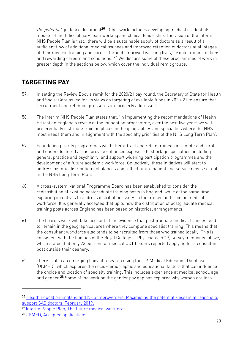the *potential* guidance document<sup>26</sup>. Other work includes developing medical credentials, models of multidisciplinary team working and clinical leadership. The vision of the Interim NHS People Plan is that: 'there will be a sustainable supply of doctors as a result of a sufficient flow of additional medical trainees and improved retention of doctors at all stages of their medical training and career, through improved working lives, flexible training options and rewarding careers and conditions.<sup>'27</sup> We discuss some of these programmes of work in greater depth in the sections below, which cover the individual remit groups.

## **TARGETING PAY**

- 57. In setting the Review Body's remit for the 2020/21 pay round, the Secretary of State for Health and Social Care asked for its views on targeting of available funds in 2020-21 to ensure that recruitment and retention pressures are properly addressed.
- 58. The Interim NHS People Plan states that: 'in implementing the recommendations of Health Education England's review of the foundation programme, over the next five years we will preferentially distribute training places in the geographies and specialties where the NHS most needs them and in alignment with the specialty priorities of the NHS Long Term Plan'.
- 59. Foundation priority programmes will better attract and retain trainees in remote and rural and under-doctored areas; provide enhanced exposure to shortage specialties, including general practice and psychiatry; and support widening participation programmes and the development of a future academic workforce. Collectively, these initiatives will start to address historic distribution imbalances and reflect future patient and service needs set out in the NHS Long Term Plan.
- 60. A cross-system National Programme Board has been established to consider the redistribution of existing postgraduate training posts in England, while at the same time exploring incentives to address distribution issues in the trained and training medical workforce. It is generally accepted that up to now the distribution of postgraduate medical training posts across England has been based on historical arrangements.
- 61. The board's work will take account of the evidence that postgraduate medical trainees tend to remain in the geographical area where they complete specialist training. This means that the consultant workforce also tends to be recruited from those who trained locally. This is consistent with the findings of the Royal College of Physicians (RCP) survey mentioned above, which states that only 23 per cent of medical CCT holders reported applying for a consultant post outside their deanery.
- 62. There is also an emerging body of research using the UK Medical Education Database (UKMED), which explores the socio-demographic and educational factors that can influence the choice and location of specialty training. This includes experience at medical school, age and gender.<sup>28</sup> Some of the work on the gender pay gap has explored why women are less

<sup>26</sup> Health Education England and NHS Improvement, Maximising the potential - essential reasons to support SAS doctors, February 2019.

<sup>27</sup> Interim People Plan, The future medical workforce.

<sup>28</sup> UKMED, Accepted applications.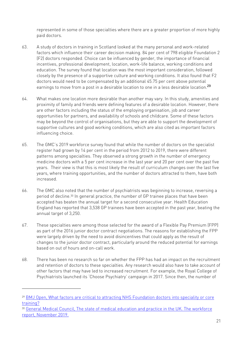represented in some of those specialties where there are a greater proportion of more highly paid doctors.

- 63. A study of doctors in training in Scotland looked at the many personal and work-related factors which influence their career decision making. 84 per cent of 798 eligible Foundation 2 (F2) doctors responded. Choice can be influenced by gender, the importance of financial incentives, professional development, location, work-life balance, working conditions and education. The survey found that location was the most important consideration, followed closely by the presence of a supportive culture and working conditions. It also found that F2 doctors would need to be compensated by an additional 45.75 per cent above potential earnings to move from a post in a desirable location to one in a less desirable location.<sup>29</sup>
- 64. What makes one location more desirable than another may vary. In this study, amenities and proximity of family and friends were defining features of a desirable location. However, there are other factors including the status of the employing organisation, job and career opportunities for partners, and availability of schools and childcare. Some of these factors may be beyond the control of organisations, but they are able to support the development of supportive cultures and good working conditions, which are also cited as important factors influencing choice.
- 65. The GMC's 2019 workforce survey found that while the number of doctors on the specialist register had grown by 14 per cent in the period from 2012 to 2019, there were different patterns among specialties. They observed a strong growth in the number of emergency medicine doctors with a 5 per cent increase in the last year and 20 per cent over the past five years. Their view is that this is most likely the result of curriculum changes over the last five years, where training opportunities, and the number of doctors attracted to them, have both increased.
- 66. The GMC also noted that the number of psychiatrists was beginning to increase, reversing a period of decline.30 In general practice, the number of GP trainee places that have been accepted has beaten the annual target for a second consecutive year. Health Education England has reported that 3,538 GP trainees have been accepted in the past year, beating the annual target of 3,250.
- 67. These specialties were among those selected for the award of a Flexible Pay Premium (FPP) as part of the 2016 junior doctor contract negotiations. The reasons for establishing the FPP were largely driven by the need to avoid disincentives that could apply as the result of changes to the junior doctor contract, particularly around the reduced potential for earnings based on out of hours and on-call work.
- 68. There has been no research so far on whether the FPP has had an impact on the recruitment and retention of doctors to these specialties. Any research would also have to take account of other factors that may have led to increased recruitment. For example, the Royal College of Psychiatrists launched its 'Choose Psychiatry' campaign in 2017. Since then, the number of

<sup>29</sup> BMJ Open, What factors are critical to attracting NHS Foundation doctors into speciality or core training?

<sup>&</sup>lt;sup>30</sup> General Medical Council, The state of medical education and practice in the UK. The workforce report, November 2019.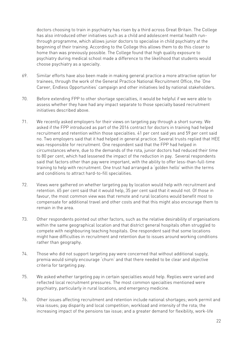doctors choosing to train in psychiatry has risen by a third across Great Britain. The College has also introduced other initiatives such as a child and adolescent mental health runthrough programme, which allows junior doctors to specialise in child psychiatry at the beginning of their training. According to the College this allows them to do this closer to home than was previously possible. The College found that high quality exposure to psychiatry during medical school made a difference to the likelihood that students would choose psychiatry as a specialty.

- 69. Similar efforts have also been made in making general practice a more attractive option for trainees, through the work of the General Practice National Recruitment Office, the 'One Career, Endless Opportunities' campaign and other initiatives led by national stakeholders.
- 70. Before extending FPP to other shortage specialties, it would be helpful if we were able to assess whether they have had any impact separate to those specialty based recruitment initiatives described above.
- 71. We recently asked employers for their views on targeting pay through a short survey. We asked if the FPP introduced as part of the 2016 contract for doctors in training had helped recruitment and retention within those specialties. 41 per cent said yes and 59 per cent said no. Two employers said that it had helped in general practice. Several trusts replied that HEE was responsible for recruitment. One respondent said that the FPP had helped in circumstances where, due to the demands of the rota, junior doctors had reduced their time to 80 per cent, which had lessened the impact of the reduction in pay. Several respondents said that factors other than pay were important, with the ability to offer less-than-full-time training to help with recruitment. One trust had arranged a 'golden hello' within the terms and conditions to attract hard-to-fill specialities.
- 72. Views were gathered on whether targeting pay by location would help with recruitment and retention. 65 per cent said that it would help, 35 per cent said that it would not. Of those in favour, the most common view was that remote and rural locations would benefit most to compensate for additional travel and other costs and that this might also encourage them to remain in the area.
- 73. Other respondents pointed out other factors, such as the relative desirability of organisations within the same geographical location and that district general hospitals often struggled to compete with neighbouring teaching hospitals. One respondent said that some locations might have difficulties in recruitment and retention due to issues around working conditions rather than geography.
- 74. Those who did not support targeting pay were concerned that without additional supply, premia would simply encourage 'churn' and that there needed to be clear and objective criteria for targeting pay.
- 75. We asked whether targeting pay in certain specialties would help. Replies were varied and reflected local recruitment pressures. The most common specialties mentioned were psychiatry, particularly in rural locations, and emergency medicine.
- 76. Other issues affecting recruitment and retention include national shortages; work permit and visa issues; pay disparity and local competition; workload and intensity of the rota; the increasing impact of the pensions tax issue; and a greater demand for flexibility, work-life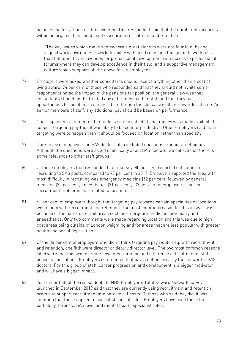balance and less-than-full-time working. One respondent said that the number of vacancies within an organisation could itself discourage recruitment and retention:

''The key issues which make somewhere a great place to work are four fold: having a good work environment; work flexibility with good rotas and the option to work less than full time; having avenues for professional development with access to professional forums where they can develop excellence in their field; and a supportive management culture which supports all the above for its employees.'

- 77. Employers were asked whether consultants should receive anything other than a cost of living award. 74 per cent of those who responded said that they should not. While some respondents noted the impact of the pensions tax position, the general view was that consultants should not be treated any differently to other staff and that they had opportunities for additional remuneration through the clinical excellence awards scheme. As senior members of staff, any additional pay should be based on performance.
- 78. One respondent commented that unless significant additional money was made available to support targeting pay then it was likely to be counterproductive. Other employers said that if targeting were to happen then it should be focused on location rather than specialty.
- 79. Our survey of employers on SAS doctors also included questions around targeting pay. Although the questions were asked specifically about SAS doctors, we believe that there is some relevance to other staff groups.
- 80. Of those employers that responded to our survey, 80 per cent reported difficulties in recruiting to SAS posts, compared to 77 per cent in 2017. Employers reported the area with most difficulty in recruiting was emergency medicine (52 per cent) followed by general medicine (32 per cent) anaesthetics (31 per cent). 37 per cent of employers reported recruitment problems that related to location.
- 81. 41 per cent of employers thought that targeting pay towards certain specialties or locations would help with recruitment and retention. The most common reason for this answer was because of the hard-to-recruit areas such as emergency medicine, psychiatry and anaesthetics. Only two comments were made regarding location and this was due to high cost areas being outside of London weighting and for areas that are less popular with greater health and social deprivation.
- 82. Of the 38 per cent of employers who didn't think targeting pay would help with recruitment and retention, one fifth were director or deputy director level. The two most common reasons cited were that this would create unwanted variation and difference of treatment of staff between specialities. Employers commented that pay is not necessarily the answer for SAS doctors. For this group of staff, career progression and development is a bigger motivator and will have a bigger impact.
- 83. Just under half of the respondents to NHS Employer's Total Reward Network survey launched in September 2019 said that they are currently using recruitment and retention premia to support recruitment into hard-to-fill posts. Of those who said they did, it was common that these applied to specialist clinical roles. Employers have used these for pathology, forensic, SAS level and mental health specialist roles.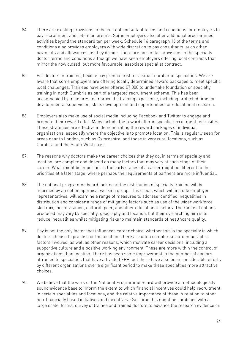- 84. There are existing provisions in the current consultant terms and conditions for employers to pay recruitment and retention premia. Some employers also offer additional programmed activities beyond the standard ten per week. Schedule 16 paragraph 16 of the terms and conditions also provides employers with wide discretion to pay consultants, such other payments and allowances, as they decide. There are no similar provisions in the specialty doctor terms and conditions although we have seen employers offering local contracts that mirror the now closed, but more favourable, associate specialist contract.
- 85. For doctors in training, flexible pay premia exist for a small number of specialties. We are aware that some employers are offering locally determined reward packages to meet specific local challenges. Trainees have been offered £7,000 to undertake foundation or specialty training in north Cumbria as part of a targeted recruitment scheme. This has been accompanied by measures to improve the training experience, including protected time for developmental supervision, skills development and opportunities for educational research.
- 86. Employers also make use of social media including Facebook and Twitter to engage and promote their reward offer. Many include the reward offer in specific recruitment microsites. These strategies are effective in demonstrating the reward packages of individual organisations, especially where the objective is to promote location. This is regularly seen for areas near to London, such as Oxfordshire, and those in very rural locations, such as Cumbria and the South West coast.
- 87. The reasons why doctors make the career choices that they do, in terms of specialty and location, are complex and depend on many factors that may vary at each stage of their career. What might be important in the early stages of a career might be different to the priorities at a later stage, where perhaps the requirements of partners are more influential.
- 88. The national programme board looking at the distribution of specialty training will be informed by an option appraisal working group. This group, which will include employer representatives, will examine a range of measures to address identified inequalities in distribution and consider a range of mitigating factors such as use of the wider workforce skill mix, incentivisation, cultural, peer, and other educational factors. The range of options produced may vary by specialty, geography and location, but their overarching aim is to reduce inequalities whilst mitigating risks to maintain standards of healthcare quality.
- 89. Pay is not the only factor that influences career choice, whether this is the specialty in which doctors choose to practise or the location. There are often complex socio-demographic factors involved, as well as other reasons, which motivate career decisions, including a supportive culture and a positive working environment. These are more within the control of organisations than location. There has been some improvement in the number of doctors attracted to specialties that have attracted FPP, but there have also been considerable efforts by different organisations over a significant period to make these specialties more attractive choices.
- 90. We believe that the work of the National Programme Board will provide a methodologically sound evidence base to inform the extent to which financial incentives could help recruitment in certain specialties and locations, and the relative importance of these in relation to other non-financially based initiatives and incentives. Over time this might be combined with a large scale, formal survey of trainee and trained doctors to advance the research evidence on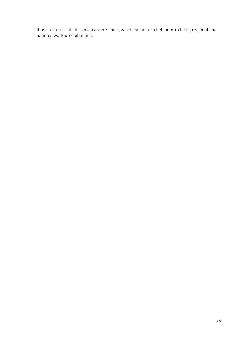those factors that influence career choice, which can in turn help inform local, regional and national workforce planning.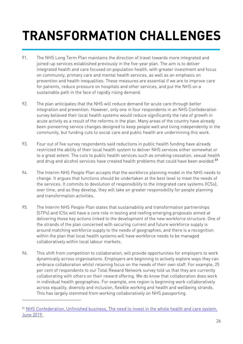# **TRANSFORMATION CHALLENGES**

- 91. The NHS Long Term Plan maintains the direction of travel towards more integrated and joined-up services established previously in the five-year plan. The aim is to deliver integrated health and care focused on population health, with greater investment and focus on community, primary care and mental health services, as well as an emphasis on prevention and health inequalities. These measures are essential if we are to improve care for patients, reduce pressure on hospitals and other services, and put the NHS on a sustainable path in the face of rapidly rising demand.
- 92. The plan anticipates that the NHS will reduce demand for acute care through better integration and prevention. However, only one in four respondents in an NHS Confederation survey believed their local health systems would reduce significantly the rate of growth in acute activity as a result of the reforms in the plan. Many areas of the country have already been pioneering service changes designed to keep people well and living independently in the community, but funding cuts to social care and public health are undermining this work.
- 93. Four out of five survey respondents said reductions in public health funding have already restricted the ability of their local health system to deliver NHS services either somewhat or to a great extent. The cuts to public health services such as smoking cessation, sexual health and drug and alcohol services have created health problems that could have been avoided.<sup>31</sup>
- 94. The Interim NHS People Plan accepts that the workforce planning model in the NHS needs to change. It argues that functions should be undertaken at the best level to meet the needs of the services. It commits to devolution of responsibility to the integrated care systems (ICSs); over time, and as they develop, they will take on greater responsibility for people planning and transformation activities.
- 95. The Interim NHS People Plan states that sustainability and transformation partnerships (STPs) and ICSs will have a core role in testing and reefing emerging proposals aimed at delivering those key actions linked to the development of the new workforce structure. One of the strands of the plan concerned with securing current and future workforce supply is around matching workforce supply to the needs of geographies, and there is a recognition within the plan that local health systems will have workforce needs to be managed collaboratively within local labour markets.
- 96. This shift from competition to collaboration, will provide opportunities for employers to work dynamically across organisations. Employers are beginning to actively explore ways they can embrace collaboration whilst retaining focus on the needs of their own staff. For example, 25 per cent of respondents to our Total Reward Network survey told us that they are currently collaborating with others on their reward offering. We do know that collaboration does work in individual health geographies. For example, one region is beginning work collaboratively across equality, diversity and inclusion, flexible working and health and wellbeing strands. This has largely stemmed from working collaboratively on NHS passporting.

<sup>31</sup> NHS Confederation, Unfinished business, The need to invest in the whole health and care system. June 2019.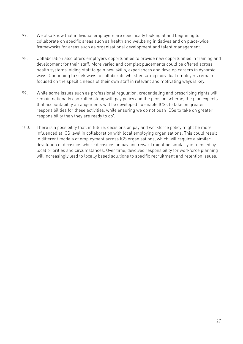- 97. We also know that individual employers are specifically looking at and beginning to collaborate on specific areas such as health and wellbeing initiatives and on place-wide frameworks for areas such as organisational development and talent management.
- 98. Collaboration also offers employers opportunities to provide new opportunities in training and development for their staff. More varied and complex placements could be offered across health systems, aiding staff to gain new skills, experiences and develop careers in dynamic ways. Continuing to seek ways to collaborate whilst ensuring individual employers remain focused on the specific needs of their own staff in relevant and motivating ways is key.
- 99. While some issues such as professional regulation, credentialing and prescribing rights will remain nationally controlled along with pay policy and the pension scheme, the plan expects that accountability arrangements will be developed 'to enable ICSs to take on greater responsibilities for these activities, while ensuring we do not push ICSs to take on greater responsibility than they are ready to do'.
- 100. There is a possibility that, in future, decisions on pay and workforce policy might be more influenced at ICS level in collaboration with local employing organisations. This could result in different models of employment across ICS organisations, which will require a similar devolution of decisions where decisions on pay and reward might be similarly influenced by local priorities and circumstances. Over time, devolved responsibility for workforce planning will increasingly lead to locally based solutions to specific recruitment and retention issues.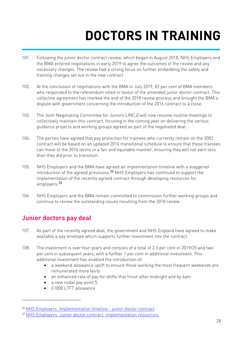# **DOCTORS IN TRAINING**

- 101. Following the junior doctor contract review, which began in August 2018, NHS Employers and the BMA entered negotiations in early 2019 to agree the outcomes of the review and any necessary changes. The review had a strong focus on further embedding the safety and training changes set out in the new contract.
- 102. At the conclusion of negotiations with the BMA in July 2019, 82 per cent of BMA members who responded to the referendum voted in favour of the amended junior doctor contract. This collective agreement has marked the end of the 2018 review process and brought the BMA's dispute with government concerning the introduction of the 2016 contract to a close.
- 103. The Joint Negotiating Committee for Juniors (JNCJ) will now resume routine meetings to collectively maintain this contract, focusing in the coming year on delivering the various guidance projects and working groups agreed as part of the negotiated deal.
- 104. The parties have agreed that pay protection for trainees who currently remain on the 2002 contract will be based on an updated 2016 transitional schedule to ensure that these trainees can move to the 2016 terms in a fair and equitable manner, ensuring they will not earn less than they did prior to transition.
- 105. NHS Employers and the BMA have agreed an implementation timeline with a staggered introduction of the agreed provisions.32 NHS Employers has continued to support the implementation of the recently agreed contract through developing resources for employers.<sup>33</sup>
- 106. NHS Employers and the BMA remain committed to commission further working groups and continue to review the outstanding issues resulting from the 2018 review.

#### **Junior doctors pay deal**

- 107. As part of the recently agreed deal, the government and NHS England have agreed to make available a pay envelope which supports further investment into the contract.
- 108. The investment is over four years and consists of a total of 2.3 per cent in 2019/20 and two per cent in subsequent years, with a further 1 per cent in additional investment. This additional investment has enabled the introduction of:
	- a weekend allowance uplift to ensure those working the most frequent weekends are remunerated more fairly
	- an enhanced rate of pay for shifts that finish after midnight and by 4am
	- a new nodal pay point 5.
	- £1000 LTFT allowance

<sup>32</sup> NHS Employers. Implementation timeline - junior doctor contract

<sup>33</sup> NHS Employers. Junior doctor contract. Implementation resources.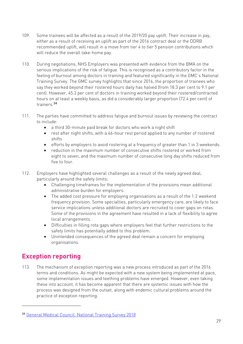- 109. Some trainees will be affected as a result of the 2019/20 pay uplift. Their increase in pay, either as a result of receiving an uplift as part of the 2016 contract deal or the DDRB recommended uplift, will result in a move from tier 4 to tier 5 pension contributions which will reduce the overall take-home pay.
- 110. During negotiations, NHS Employers was presented with evidence from the BMA on the serious implications of the risk of fatigue. This is recognised as a contributory factor in the feeling of burnout among doctors in training and featured significantly in the GMC's National Training Survey. The GMC survey highlights that since 2016, the proportion of trainees who say they worked beyond their rostered hours daily has halved (from 18.3 per cent to 9.1 per cent). However, 45.3 per cent of doctors in training worked beyond their rostered/contracted hours on at least a weekly basis, as did a considerably larger proportion (72.4 per cent) of trainers.<sup>34</sup>
- 111. The parties have committed to address fatigue and burnout issues by reviewing the contract to include:
	- a third 30-minute paid break for doctors who work a night shift
	- rest after night shifts, with a 46-hour rest period applied to any number of rostered shifts
	- efforts by employers to avoid rostering at a frequency of greater than 1 in 3 weekends.
	- reduction in the maximum number of consecutive shifts rostered or worked from eight to seven, and the maximum number of consecutive long day shifts reduced from five to four.
- 112. Employers have highlighted several challenges as a result of the newly agreed deal, particularly around the safety limits:
	- Challenging timeframes for the implementation of the provisions mean additional administrative burden for employers.
	- The added cost pressure for employing organisations as a result of the 1:2 weekend frequency provision. Some specialties, particularly emergency care, are likely to face service implications unless additional doctors are recruited to cover gaps on rotas. Some of the provisions in the agreement have resulted in a lack of flexibility to agree local arrangements.
	- Difficulties in filling rota gaps where employers feel that further restrictions to the safety limits has potentially added to this problem.
	- Unintended consequences of the agreed deal remain a concern for employing organisations.

### **Exception reporting**

113. The mechanism of exception reporting was a new process introduced as part of the 2016 terms and conditions. As might be expected with a new system being implemented at pace, some implementation issues and teething problems have emerged. However, even taking these into account, it has become apparent that there are systemic issues with how the process was designed from the outset, along with endemic cultural problems around the practice of exception reporting.

<sup>34</sup> General Medical Council. National Training Survey 2018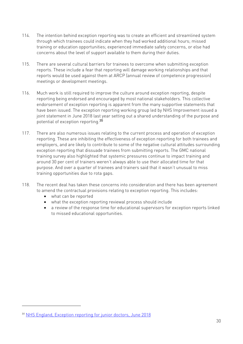- 114. The intention behind exception reporting was to create an efficient and streamlined system through which trainees could indicate when they had worked additional hours; missed training or education opportunities; experienced immediate safety concerns, or else had concerns about the level of support available to them during their duties.
- 115. There are several cultural barriers for trainees to overcome when submitting exception reports. These include a fear that reporting will damage working relationships and that reports would be used against them at ARCP (annual review of competence progression) meetings or development meetings.
- 116. Much work is still required to improve the culture around exception reporting, despite reporting being endorsed and encouraged by most national stakeholders. This collective endorsement of exception reporting is apparent from the many supportive statements that have been issued. The exception reporting working group led by NHS Improvement issued a joint statement in June 2018 last year setting out a shared understanding of the purpose and potential of exception reporting.<sup>35</sup>
- 117. There are also numerous issues relating to the current process and operation of exception reporting. These are inhibiting the effectiveness of exception reporting for both trainees and employers, and are likely to contribute to some of the negative cultural attitudes surrounding exception reporting that dissuade trainees from submitting reports. The GMC national training survey also highlighted that systemic pressures continue to impact training and around 30 per cent of trainers weren't always able to use their allocated time for that purpose. And over a quarter of trainees and trainers said that it wasn't unusual to miss training opportunities due to rota gaps.
- 118. The recent deal has taken these concerns into consideration and there has been agreement to amend the contractual provisions relating to exception reporting. This includes:
	- what can be reported
	- what the exception reporting reviewal process should include
	- a review of the response time for educational supervisors for exception reports linked to missed educational opportunities.

<sup>35</sup> NHS England, Exception reporting for junior doctors, June 2018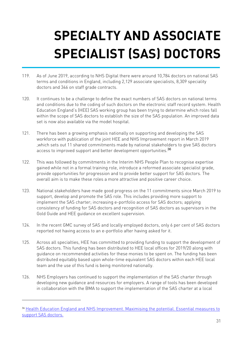# **SPECIALTY AND ASSOCIATE SPECIALIST (SAS) DOCTORS**

- 119. As of June 2019, according to NHS Digital there were around 10,784 doctors on national SAS terms and conditions in England, including 2,129 associate specialists, 8,309 speciality doctors and 346 on staff grade contracts.
- 120. It continues to be a challenge to define the exact numbers of SAS doctors on national terms and conditions due to the coding of such doctors on the electronic staff record system. Health Education England's (HEE) SAS working group has been trying to determine which roles fall within the scope of SAS doctors to establish the size of the SAS population. An improved data set is now also available via the model hospital.
- 121. There has been a growing emphasis nationally on supporting and developing the SAS workforce with publication of the joint HEE and NHS Improvement report in March 2019 ,which sets out 11 shared commitments made by national stakeholders to give SAS doctors access to improved support and better development opportunities.<sup>36</sup>
- 122. This was followed by commitments in the Interim NHS People Plan to recognise expertise gained while not in a formal training role, introduce a reformed associate specialist grade, provide opportunities for progression and to provide better support for SAS doctors. The overall aim is to make these roles a more attractive and positive career choice.
- 123. National stakeholders have made good progress on the 11 commitments since March 2019 to support, develop and promote the SAS role. This includes providing more support to implement the SAS charter; increasing e-portfolio access for SAS doctors; applying consistency of funding for SAS doctors and recognition of SAS doctors as supervisors in the Gold Guide and HEE guidance on excellent supervision.
- 124. In the recent GMC survey of SAS and locally employed doctors, only 6 per cent of SAS doctors reported not having access to an e-portfolio after having asked for it.
- 125. Across all specialties, HEE has committed to providing funding to support the development of SAS doctors. This funding has been distributed to HEE local offices for 2019/20 along with guidance on recommended activities for these monies to be spent on. The funding has been distributed equitably based upon whole-time equivalent SAS doctors within each HEE local team and the use of this fund is being monitored nationally.
- 126. NHS Employers has continued to support the implementation of the SAS charter through developing new guidance and resources for employers. A range of tools has been developed in collaboration with the BMA to support the implementation of the SAS charter at a local

<sup>36</sup> Health Education England and NHS Improvement. Maximising the potential. Essential measures to support SAS doctors.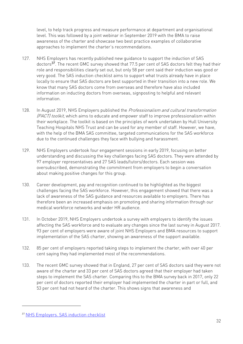level, to help track progress and measure performance at department and organisational level. This was followed by a joint webinar in September 2019 with the BMA to raise awareness of the charter and showcase two best practice examples of collaborative approaches to implement the charter's recommendations.

- 127. NHS Employers has recently published new guidance to support the induction of SAS doctors<sup>37</sup>. The recent GMC survey showed that 77.5 per cent of SAS doctors felt they had their role and responsibilities clearly set out, but only 58 per cent said their induction was good or very good. The SAS induction checklist aims to support what trusts already have in place locally to ensure that SAS doctors are best supported in their transition into a new role. We know that many SAS doctors come from overseas and therefore have also included information on inducting doctors from overseas, signposting to helpful and relevant information.
- 128. In August 2019, NHS Employers published the *Professionalism and cultural transformation* (PACT) toolkit, which aims to educate and empower staff to improve professionalism within their workplace. The toolkit is based on the principles of work undertaken by Hull University Teaching Hospitals NHS Trust and can be used for any member of staff. However, we have, with the help of the BMA SAS committee, targeted communications for the SAS workforce due to the continued challenges they face with bullying and harassment.
- 129. NHS Employers undertook four engagement sessions in early 2019, focusing on better understanding and discussing the key challenges facing SAS doctors. They were attended by 97 employer representatives and 27 SAS leads/tutors/doctors. Each session was oversubscribed, demonstrating the commitment from employers to begin a conversation about making positive changes for this group.
- 130. Career development, pay and recognition continued to be highlighted as the biggest challenges facing the SAS workforce. However, this engagement showed that there was a lack of awareness of the SAS guidance and resources available to employers. There has therefore been an increased emphasis on promoting and sharing information through our medical workforce networks and wider HR audience.
- 131. In October 2019, NHS Employers undertook a survey with employers to identify the issues affecting the SAS workforce and to evaluate any changes since the last survey in August 2017. 93 per cent of employers were aware of joint NHS Employers and BMA resources to support implementation of the SAS charter, showing an awareness of the support available.
- 132. 85 per cent of employers reported taking steps to implement the charter, with over 40 per cent saying they had implemented most of the recommendations.
- 133. The recent GMC survey showed that in England, 27 per cent of SAS doctors said they were not aware of the charter and 33 per cent of SAS doctors agreed that their employer had taken steps to implement the SAS charter. Comparing this to the BMA survey back in 2017, only 22 per cent of doctors reported their employer had implemented the charter in part or full, and 53 per cent had not heard of the charter. This shows signs that awareness and

<sup>37</sup> NHS Employers. SAS induction checklist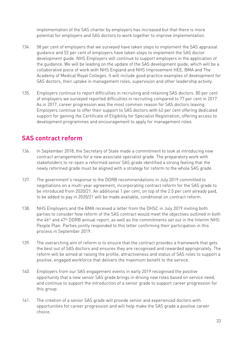implementation of the SAS charter by employers has increased but that there is more potential for employers and SAS doctors to work together to improve implementation.

- 134. 58 per cent of employers that we surveyed have taken steps to implement the SAS appraisal guidance and 52 per cent of employers have taken steps to implement the SAS doctor development guide. NHS Employers will continue to support employers in the application of the guidance. We will be leading on the update of the SAS development guide, which will be a collaborative piece of work with NHS England and NHS Improvement HEE, BMA and The Academy of Medical Royal Colleges. It will include good practice examples of development for SAS doctors, their uptake in management roles, supervision and other leadership activity.
- 135. Employers continue to report difficulties in recruiting and retaining SAS doctors. 80 per cent of employers we surveyed reported difficulties in recruiting compared to 77 per cent in 2017. As in 2017, career progression was the most common reason for SAS doctors leaving. Employers continue to offer their support to SAS doctors with 62 per cent offering dedicated support for gaining the Certificate of Eligibility for Specialist Registration; offering access to development programmes and encouragement to apply for management roles.

### **SAS contract reform**

- 136. In September 2018, the Secretary of State made a commitment to look at introducing new contract arrangements for a new associate specialist grade. The preparatory work with stakeholders to re-open a reformed senior SAS grade identified a strong feeling that the newly reformed grade must be aligned with a strategy for reform to the whole SAS grade.
- 137. The government's response to the DDRB recommendations in July 2019 committed to negotiations on a multi-year agreement, incorporating contract reform for the SAS grade to be introduced from 2020/21. An additional 1 per cent, on top of the 2.5 per cent already paid, to be added to pay in 2020/21 will be made available, conditional on contract reform.
- 138. NHS Employers and the BMA received a letter from the DHSC in July 2019 inviting both parties to consider how reform of the SAS contract would meet the objectives outlined in both the 46th and 47th DDRB annual report, as well as the commitments set out in the Interim NHS People Plan. Parties jointly responded to this letter confirming their participation in this process in September 2019.
- 139. The overarching aim of reform is to ensure that the contract provides a framework that gets the best out of SAS doctors and ensures they are recognised and rewarded appropriately. The reform will be aimed at raising the profile, attractiveness and status of SAS roles to support a positive, engaged workforce that delivers the maximum benefit to the service.
- 140. Employers from our SAS engagement events in early 2019 recognised the positive opportunity that a new senior SAS grade brings in driving new roles based on service need, and continue to support the introduction of a senior grade to support career progression for this group.
- 141. The creation of a senior SAS grade will provide senior and experienced doctors with opportunities for career progression and will help make the SAS grade a positive career choice.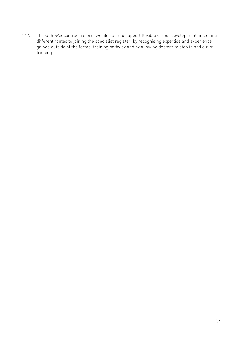142. Through SAS contract reform we also aim to support flexible career development, including different routes to joining the specialist register, by recognising expertise and experience gained outside of the formal training pathway and by allowing doctors to step in and out of training.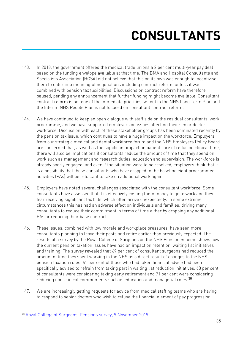# **CONSULTANTS**

- 143. In 2018, the government offered the medical trade unions a 2 per cent multi-year pay deal based on the funding envelope available at that time. The BMA and Hospital Consultants and Specialists Association (HCSA) did not believe that this on its own was enough to incentivise them to enter into meaningful negotiations including contract reform, unless it was combined with pension tax flexibilities. Discussions on contract reform have therefore paused, pending any announcement that further funding might become available. Consultant contract reform is not one of the immediate priorities set out in the NHS Long Term Plan and the Interim NHS People Plan is not focused on consultant contract reform.
- 144. We have continued to keep an open dialogue with staff side on the residual consultants' work programme, and we have supported employers on issues affecting their senior doctor workforce. Discussion with each of these stakeholder groups has been dominated recently by the pension tax issue, which continues to have a huge impact on the workforce. Employers from our strategic medical and dental workforce forum and the NHS Employers Policy Board are concerned that, as well as the significant impact on patient care of reducing clinical time, there will also be implications if consultants reduce the amount of time that they spend on work such as management and research duties, education and supervision. The workforce is already poorly engaged, and even if the situation were to be resolved, employers think that it is a possibility that those consultants who have dropped to the baseline eight programmed activities (PAs) will be reluctant to take on additional work again.
- 145. Employers have noted several challenges associated with the consultant workforce. Some consultants have assessed that it is effectively costing them money to go to work and they fear receiving significant tax bills, which often arrive unexpectedly. In some extreme circumstances this has had an adverse effect on individuals and families, driving many consultants to reduce their commitment in terms of time either by dropping any additional PAs or reducing their base contract.
- 146. These issues, combined with low morale and workplace pressures, have seen more consultants planning to leave their posts and retire earlier than previously expected. The results of a survey by the Royal College of Surgeons on the NHS Pension Scheme shows how the current pension taxation issues have had an impact on retention, waiting list initiatives and training. The survey revealed that 69 per cent of consultant surgeons had reduced the amount of time they spent working in the NHS as a direct result of changes to the NHS pension taxation rules. 61 per cent of those who had taken financial advice had been specifically advised to refrain from taking part in waiting list reduction initiatives. 68 per cent of consultants were considering taking early retirement and 71 per cent were considering reducing non-clinical commitments such as education and managerial roles.<sup>38</sup>
- 147. We are increasingly getting requests for advice from medical staffing teams who are having to respond to senior doctors who wish to refuse the financial element of pay progression

<sup>38</sup> Royal College of Surgeons, Pensions survey, 9 November 2019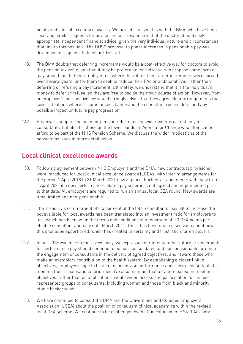points and clinical excellence awards. We have discussed this with the BMA, who have been receiving similar requests for advice, and our response is that the doctor should seek appropriate independent financial advice, given the very individual nature and circumstances that link to this position. The DHSC proposal to phase increases in pensionable pay was developed in response to feedback by staff.

- 148. The BMA doubts that deferring increments would be a cost-effective way for doctors to avoid the pension tax issue, and that it may be preferable for individuals to propose some form of 'pay smoothing' to their employer, i.e. where the value of the larger increments were spread over several years, or for them to seek to reduce their PAs or additional PAs, rather than deferring or refusing a pay increment. Ultimately, we understand that it is the individual's money to defer or refuse, so they are free to decide their own course of action. However, from an employer's perspective, we would strongly advise that they agree clear arrangements that cover situations where circumstances change and the consultant reconsiders, and any possible impact on future pay progression.
- 149. Employers support the need for pension reform for the wider workforce, not only for consultants, but also for those on the lower bands on Agenda for Change who often cannot afford to be part of the NHS Pension Scheme. We discuss the wider implications of the pension tax issue in more detail below.

#### **Local clinical excellence awards**

- 150. Following agreement between NHS Employers and the BMA, new contractual provisions were introduced for local clinical excellence awards (LCEAs) with interim arrangements for the period 1 April 2018 to 31 March 2021 now in place. Further arrangements will apply from 1 April 2021 if a new performance-related pay scheme is not agreed and implemented prior to that date. All employers are required to run an annual local CEA round. New awards are time limited and non-pensionable.
- 151. The Treasury's commitment of 0.5 per cent of the total consultants' pay bill to increase the pot available for local awards has been translated into an investment ratio for employers to use, which has been set in the terms and conditions at a minimum of 0.3 CEA points per eligible consultant annually until March 2021. There has been much discussion about how this should be apportioned, which has created uncertainty and frustration for employers.
- 152. In our 2018 evidence to the review body, we expressed our intention that future arrangements for performance pay should continue to be non-consolidated and non-pensionable, promote the engagement of consultants in the delivery of agreed objectives, and reward those who make an exemplary contribution to the health system. By establishing a closer link to objectives, employers hope to be able to incentivise performance and reward consultants for meeting their organisational priorities. We also maintain that a system based on meeting objectives, rather than on applications, would widen access and participation for underrepresented groups of consultants, including women and those from black and minority ethnic backgrounds.
- 153. We have continued to consult the BMA and the Universities and Colleges Employers Association (UCEA) about the position of consultant clinical academics within the revised local CEA scheme. We continue to be challenged by the Clinical Academic Staff Advisory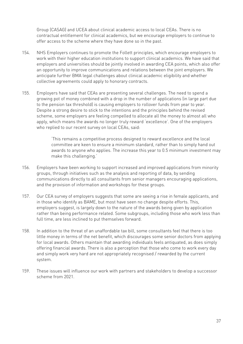Group (CASAG) and UCEA about clinical academic access to local CEAs. There is no contractual entitlement for clinical academics, but we encourage employers to continue to offer access to the scheme where they have done so in the past.

- 154. NHS Employers continues to promote the Follett principles, which encourage employers to work with their higher education institutions to support clinical academics. We have said that employers and universities should be jointly involved in awarding CEA points, which also offer an opportunity to improve communications and relations between the joint employers. We anticipate further BMA legal challenges about clinical academic eligibility and whether collective agreements could apply to honorary contracts.
- 155. Employers have said that CEAs are presenting several challenges. The need to spend a growing pot of money combined with a drop in the number of applications (in large part due to the pension tax threshold) is causing employers to rollover funds from year to year. Despite a strong desire to stick to the intentions and the principles behind the revised scheme, some employers are feeling compelled to allocate all the money to almost all who apply, which means the awards no longer truly reward 'excellence'. One of the employers who replied to our recent survey on local CEAs, said:

'This remains a competitive process designed to reward excellence and the local committee are keen to ensure a minimum standard, rather than to simply hand out awards to anyone who applies. The increase this year to 0.5 minimum investment may make this challenging.'

- 156. Employers have been working to support increased and improved applications from minority groups, through initiatives such as the analysis and reporting of data, by sending communications directly to all consultants from senior managers encouraging applications, and the provision of information and workshops for these groups.
- 157. Our CEA survey of employers suggests that some are seeing a rise in female applicants, and in those who identify as BAME, but most have seen no change despite efforts. This, employers suggest, is largely down to the nature of the awards being given by application rather than being performance related. Some subgroups, including those who work less than full time, are less inclined to put themselves forward.
- 158. In addition to the threat of an unaffordable tax bill, some consultants feel that there is too little money in terms of the net benefit, which discourages some senior doctors from applying for local awards. Others maintain that awarding individuals feels antiquated, as does simply offering financial awards. There is also a perception that those who come to work every day and simply work very hard are not appropriately recognised / rewarded by the current system.
- 159. These issues will influence our work with partners and stakeholders to develop a successor scheme from 2021.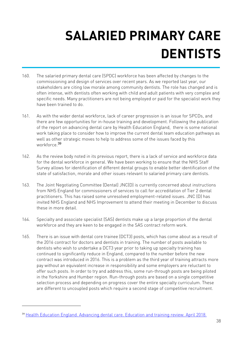# **SALARIED PRIMARY CARE DENTISTS**

- 160. The salaried primary dental care (SPDC) workforce has been affected by changes to the commissioning and design of services over recent years. As we reported last year, our stakeholders are citing low morale among community dentists. The role has changed and is often intense, with dentists often working with child and adult patients with very complex and specific needs. Many practitioners are not being employed or paid for the specialist work they have been trained to do.
- 161. As with the wider dental workforce, lack of career progression is an issue for SPCDs, and there are few opportunities for in-house training and development. Following the publication of the report on advancing dental care by Health Education England, there is some national work taking place to consider how to improve the current dental team education pathways as well as other strategic moves to help to address some of the issues faced by this workforce.<sup>39</sup>
- 162. As the review body noted in its previous report, there is a lack of service and workforce data for the dental workforce in general. We have been working to ensure that the NHS Staff Survey allows for identification of different dental groups to enable better identification of the state of satisfaction, morale and other issues relevant to salaried primary care dentists.
- 163. The Joint Negotiating Committee (Dental) JNC(D) is currently concerned about instructions from NHS England for commissioners of services to call for accreditation of Tier 2 dental practitioners. This has raised some unresolved employment-related issues. JNC (D) has invited NHS England and NHS Improvement to attend their meeting in December to discuss these in more detail.
- 164. Specialty and associate specialist (SAS) dentists make up a large proportion of the dental workforce and they are keen to be engaged in the SAS contract reform work.
- 165. There is an issue with dental core trainee (DCT3) posts, which has come about as a result of the 2016 contract for doctors and dentists in training. The number of posts available to dentists who wish to undertake a DCT3 year prior to taking up specialty training has continued to significantly reduce in England, compared to the number before the new contract was introduced in 2016. This is a problem as the third year of training attracts more pay without an equivalent increase in responsibility and some employers are reluctant to offer such posts. In order to try and address this, some run-through posts are being piloted in the Yorkshire and Humber region. Run-through posts are based on a single competitive selection process and depending on progress cover the entire specialty curriculum. These are different to uncoupled posts which require a second stage of competitive recruitment.

<sup>39</sup> Health Education England. Advancing dental care. Education and training review. April 2018.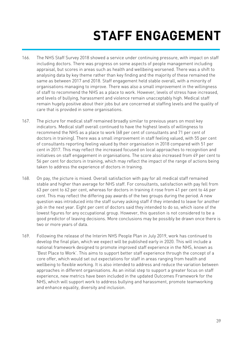# **STAFF ENGAGEMENT**

- 166. The NHS Staff Survey 2018 showed a service under continuing pressure, with impact on staff including doctors. There was progress on some aspects of people management including appraisal, but scores in areas such as health and wellbeing worsened. There was a shift to analysing data by key theme rather than key finding and the majority of these remained the same as between 2017 and 2018. Staff engagement held stable overall, with a minority of organisations managing to improve. There was also a small improvement in the willingness of staff to recommend the NHS as a place to work. However, levels of stress have increased, and levels of bullying, harassment and violence remain unacceptably high. Medical staff remain hugely positive about their jobs but are concerned at staffing levels and the quality of care that is provided in some organisations.
- 167. The picture for medical staff remained broadly similar to previous years on most key indicators. Medical staff overall continued to have the highest levels of willingness to recommend the NHS as a place to work (68 per cent of consultants and 71 per cent of doctors in training). There was a small improvement in staff feeling valued, with 55 per cent of consultants reporting feeling valued by their organisation in 2018 compared with 51 per cent in 2017. This may reflect the increased focused on local approaches to recognition and initiatives on staff engagement in organisations. The score also increased from 49 per cent to 56 per cent for doctors in training, which may reflect the impact of the range of actions being taken to address the experience of doctors in training.
- 168. On pay, the picture is mixed. Overall satisfaction with pay for all medical staff remained stable and higher than average for NHS staff. For consultants, satisfaction with pay fell from 63 per cent to 62 per cent, whereas for doctors in training it rose from 41 per cent to 46 per cent. This may reflect the differing pay awards of the two groups during the period. A new question was introduced into the staff survey asking staff if they intended to leave for another job in the next year. Eight per cent of doctors said they intended to do so, which isone of the lowest figures for any occupational group. However, this question is not considered to be a good predictor of leaving decisions. More conclusions may be possibly be drawn once there is two or more years of data.
- 169. Following the release of the Interim NHS People Plan in July 2019, work has continued to develop the final plan, which we expect will be published early in 2020. This will include a national framework designed to promote improved staff experience in the NHS, known as 'Best Place to Work'. This aims to support better staff experience through the concept of a core offer, which would set out expectations for staff in areas ranging from health and wellbeing to flexible working. It is also intended to address and reduce the variation between approaches in different organisations. As an initial step to support a greater focus on staff experience, new metrics have been included in the updated Outcomes Framework for the NHS, which will support work to address bullying and harassment, promote teamworking and enhance equality, diversity and inclusion.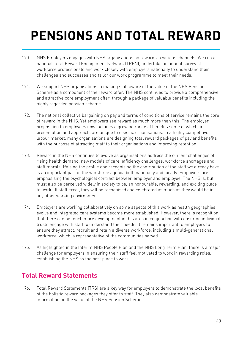# **PENSIONS AND TOTAL REWARD**

- 170. NHS Employers engages with NHS organisations on reward via various channels. We run a national Total Reward Engagement Network (TREN), undertake an annual survey of workforce professionals and work closely with employers nationally to understand their challenges and successes and tailor our work programme to meet their needs.
- 171. We support NHS organisations in making staff aware of the value of the NHS Pension Scheme as a component of the reward offer. The NHS continues to provide a comprehensive and attractive core employment offer, through a package of valuable benefits including the highly regarded pension scheme.
- 172. The national collective bargaining on pay and terms of conditions of service remains the core of reward in the NHS. Yet employers see reward as much more than this. The employer proposition to employees now includes a growing range of benefits some of which, in presentation and approach, are unique to specific organisations. In a highly competitive labour market, many organisations are designing total reward packages of pay and benefits with the purpose of attracting staff to their organisations and improving retention.
- 173. Reward in the NHS continues to evolve as organisations address the current challenges of rising health demand, new models of care, efficiency challenges, workforce shortages and staff morale. Raising the profile and recognising the contribution of the staff we already have is an important part of the workforce agenda both nationally and locally. Employers are emphasising the psychological contract between employer and employee. The NHS is, but must also be perceived widely in society to be, an honourable, rewarding, and exciting place to work. If staff excel, they will be recognised and celebrated as much as they would be in any other working environment.
- 174. Employers are working collaboratively on some aspects of this work as health geographies evolve and integrated care systems become more established. However, there is recognition that there can be much more development in this area in conjunction with ensuring individual trusts engage with staff to understand their needs. It remains important to employers to ensure they attract, recruit and retain a diverse workforce, including a multi-generational workforce, which is representative of the communities served.
- 175. As highlighted in the Interim NHS People Plan and the NHS Long Term Plan, there is a major challenge for employers in ensuring their staff feel motivated to work in rewarding roles, establishing the NHS as the best place to work.

#### **Total Reward Statements**

176. Total Reward Statements (TRS) are a key way for employers to demonstrate the local benefits of the holistic reward packages they offer to staff. They also demonstrate valuable information on the value of the NHS Pension Scheme.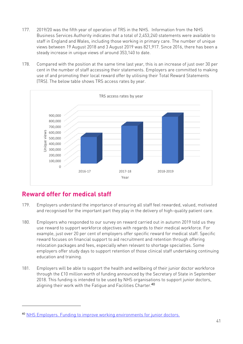- 177. 2019/20 was the fifth year of operation of TRS in the NHS. Information from the NHS Business Services Authority indicates that a total of 2,453,240 statements were available to staff in England and Wales, including those working in primary care. The number of unique views between 19 August 2018 and 3 August 2019 was 821,917. Since 2016, there has been a steady increase in unique views of around 353,140 to date.
- 178. Compared with the position at the same time last year, this is an increase of just over 30 per cent in the number of staff accessing their statements. Employers are committed to making use of and promoting their local reward offer by utilising their Total Reward Statements (TRS). The below table shows TRS access rates by year.



### **Reward offer for medical staff**

- 179. Employers understand the importance of ensuring all staff feel rewarded, valued, motivated and recognised for the important part they play in the delivery of high-quality patient care.
- 180. Employers who responded to our survey on reward carried out in autumn 2019 told us they use reward to support workforce objectives with regards to their medical workforce. For example, just over 20 per cent of employers offer specific reward for medical staff. Specific reward focuses on financial support to aid recruitment and retention through offering relocation packages and fees, especially when relevant to shortage specialties. Some employers offer study days to support retention of those clinical staff undertaking continuing education and training.
- 181. Employers will be able to support the health and wellbeing of their junior doctor workforce through the £10 million worth of funding announced by the Secretary of State in September 2018. This funding is intended to be used by NHS organisations to support junior doctors, aligning their work with the Fatigue and Facilities Charter.<sup>40</sup>

<sup>40</sup> NHS Employers. Funding to improve working environments for junior doctors.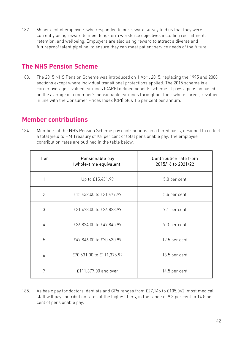182. 65 per cent of employers who responded to our reward survey told us that they were currently using reward to meet long-term workforce objectives including recruitment, retention, and wellbeing. Employers are also using reward to attract a diverse and futureproof talent pipeline, to ensure they can meet patient service needs of the future.

#### **The NHS Pension Scheme**

183. The 2015 NHS Pension Scheme was introduced on 1 April 2015, replacing the 1995 and 2008 sections except where individual transitional protections applied. The 2015 scheme is a career average revalued earnings (CARE) defined benefits scheme. It pays a pension based on the average of a member's pensionable earnings throughout their whole career, revalued in line with the Consumer Prices Index (CPI) plus 1.5 per cent per annum.

#### **Member contributions**

184. Members of the NHS Pension Scheme pay contributions on a tiered basis, designed to collect a total yield to HM Treasury of 9.8 per cent of total pensionable pay. The employee contribution rates are outlined in the table below.

| Tier           | Pensionable pay<br>(whole-time equivalent) | Contribution rate from<br>2015/16 to 2021/22 |
|----------------|--------------------------------------------|----------------------------------------------|
|                | Up to £15,431.99                           | 5.0 per cent                                 |
| $\overline{2}$ | £15,432.00 to £21,477.99                   | 5.6 per cent                                 |
| 3              | £21,478.00 to £26,823.99                   | 7.1 per cent                                 |
| 4              | £26,824.00 to £47,845.99                   | 9.3 per cent                                 |
| 5              | £47,846.00 to £70,630.99                   | 12.5 per cent                                |
| 6              | £70,631.00 to £111,376.99                  | 13.5 per cent                                |
| 7              | £111,377.00 and over                       | 14.5 per cent                                |

185. As basic pay for doctors, dentists and GPs ranges from £27,146 to £105,042, most medical staff will pay contribution rates at the highest tiers, in the range of 9.3 per cent to 14.5 per cent of pensionable pay.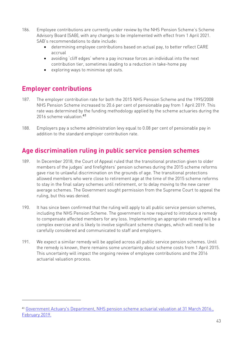- 186. Employee contributions are currently under review by the NHS Pension Scheme's Scheme Advisory Board (SAB), with any changes to be implemented with effect from 1 April 2021. SAB's recommendations to date include:
	- determining employee contributions based on actual pay, to better reflect CARE accrual
	- avoiding 'cliff edges' where a pay increase forces an individual into the next contribution tier, sometimes leading to a reduction in take-home pay
	- exploring ways to minimise opt outs.

#### **Employer contributions**

- 187. The employer contribution rate for both the 2015 NHS Pension Scheme and the 1995/2008 NHS Pension Scheme increased to 20.6 per cent of pensionable pay from 1 April 2019. This rate was determined by the funding methodology applied by the scheme actuaries during the 2016 scheme valuation.<sup>41</sup>
- 188. Employers pay a scheme administration levy equal to 0.08 per cent of pensionable pay in addition to the standard employer contribution rate.

#### **Age discrimination ruling in public service pension schemes**

- 189. In December 2018, the Court of Appeal ruled that the transitional protection given to older members of the judges' and firefighters' pension schemes during the 2015 scheme reforms gave rise to unlawful discrimination on the grounds of age. The transitional protections allowed members who were close to retirement age at the time of the 2015 scheme reforms to stay in the final salary schemes until retirement, or to delay moving to the new career average schemes. The Government sought permission from the Supreme Court to appeal the ruling, but this was denied.
- 190. It has since been confirmed that the ruling will apply to all public service pension schemes, including the NHS Pension Scheme. The government is now required to introduce a remedy to compensate affected members for any loss. Implementing an appropriate remedy will be a complex exercise and is likely to involve significant scheme changes, which will need to be carefully considered and communicated to staff and employers.
- 191. We expect a similar remedy will be applied across all public service pension schemes. Until the remedy is known, there remains some uncertainty about scheme costs from 1 April 2015. This uncertainty will impact the ongoing review of employee contributions and the 2016 actuarial valuation process.

<sup>41</sup> Government Actuary's Department, NHS pension scheme actuarial valuation at 31 March 2016., February 2019.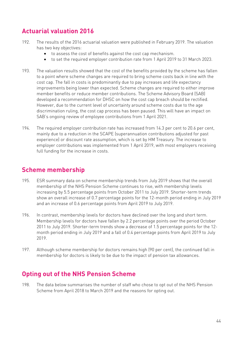## **Actuarial valuation 2016**

- 192. The results of the 2016 actuarial valuation were published in February 2019. The valuation has two key objectives:
	- to assess the cost of benefits against the cost cap mechanism.
	- to set the required employer contribution rate from 1 April 2019 to 31 March 2023.
- 193. The valuation results showed that the cost of the benefits provided by the scheme has fallen to a point where scheme changes are required to bring scheme costs back in line with the cost cap. The fall in costs is predominantly due to pay increases and life expectancy improvements being lower than expected. Scheme changes are required to either improve member benefits or reduce member contributions. The Scheme Advisory Board (SAB) developed a recommendation for DHSC on how the cost cap breach should be rectified. However, due to the current level of uncertainty around scheme costs due to the age discrimination ruling, the cost cap process has been paused. This will have an impact on SAB's ongoing review of employee contributions from 1 April 2021.
- 194. The required employer contribution rate has increased from 14.3 per cent to 20.6 per cent, mainly due to a reduction in the SCAPE (superannuation contributions adjusted for past experience) or discount rate assumption, which is set by HM Treasury. The increase to employer contributions was implemented from 1 April 2019, with most employers receiving full funding for the increase in costs.

#### **Scheme membership**

- 195. ESR summary data on scheme membership trends from July 2019 shows that the overall membership of the NHS Pension Scheme continues to rise, with membership levels increasing by 5.5 percentage points from October 2011 to July 2019. Shorter-term trends show an overall increase of 0.7 percentage points for the 12-month period ending in July 2019 and an increase of 0.6 percentage points from April 2019 to July 2019.
- 196. In contrast, membership levels for doctors have declined over the long and short term. Membership levels for doctors have fallen by 2.2 percentage points over the period October 2011 to July 2019. Shorter-term trends show a decrease of 1.5 percentage points for the 12 month period ending in July 2019 and a fall of 0.4 percentage points from April 2019 to July 2019.
- 197. Although scheme membership for doctors remains high (90 per cent), the continued fall in membership for doctors is likely to be due to the impact of pension tax allowances.

#### **Opting out of the NHS Pension Scheme**

198. The data below summarises the number of staff who chose to opt out of the NHS Pension Scheme from April 2018 to March 2019 and the reasons for opting out.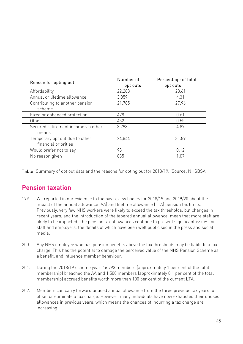| Reason for opting out                                  | Number of<br>opt outs | Percentage of total<br>opt outs |
|--------------------------------------------------------|-----------------------|---------------------------------|
| Affordability                                          | 22,288                | 28.61                           |
| Annual or lifetime allowance                           | 3,359                 | 4.31                            |
| Contributing to another pension<br>scheme              | 21,785                | 27.96                           |
| Fixed or enhanced protection                           | 478                   | 0.61                            |
| Other                                                  | 432                   | 0.55                            |
| Secured retirement income via other<br>means           | 3.798                 | 4.87                            |
| Temporary opt out due to other<br>financial priorities | 24,844                | 31.89                           |
| Would prefer not to say                                | 93                    | 0.12                            |
| No reason given                                        | 835                   | 1.07                            |

Table: Summary of opt out data and the reasons for opting out for 2018/19. (Source: NHSBSA)

### **Pension taxation**

- 199. We reported in our evidence to the pay review bodies for 2018/19 and 2019/20 about the impact of the annual allowance (AA) and lifetime allowance (LTA) pension tax limits. Previously, very few NHS workers were likely to exceed the tax thresholds, but changes in recent years, and the introduction of the tapered annual allowance, mean that more staff are likely to be impacted. The pension tax allowances continue to present significant issues for staff and employers, the details of which have been well publicised in the press and social media.
- 200. Any NHS employee who has pension benefits above the tax thresholds may be liable to a tax charge. This has the potential to damage the perceived value of the NHS Pension Scheme as a benefit, and influence member behaviour.
- 201. During the 2018/19 scheme year, 16,793 members (approximately 1 per cent of the total membership) breached the AA and 1,500 members (approximately 0.1 per cent of the total membership) accrued benefits worth more than 100 per cent of the current LTA.
- 202. Members can carry forward unused annual allowance from the three previous tax years to offset or eliminate a tax charge. However, many individuals have now exhausted their unused allowances in previous years, which means the chances of incurring a tax charge are increasing.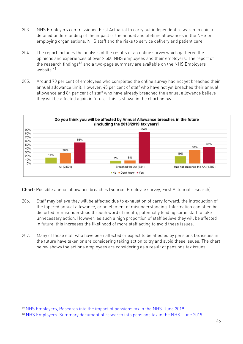- 203. NHS Employers commissioned First Actuarial to carry out independent research to gain a detailed understanding of the impact of the annual and lifetime allowances in the NHS on employing organisations, NHS staff and the risks to service delivery and patient care.
- 204. The report includes the analysis of the results of an online survey which gathered the opinions and experiences of over 2,500 NHS employees and their employers. The report of the research findings42 and a two-page summary are available on the NHS Employers website.<sup>43</sup>
- 205. Around 70 per cent of employees who completed the online survey had not yet breached their annual allowance limit. However, 45 per cent of staff who have not yet breached their annual allowance and 84 per cent of staff who have already breached the annual allowance believe they will be affected again in future. This is shown in the chart below.



Chart: Possible annual allowance breaches (Source: Employee survey, First Actuarial research)

- 206. Staff may believe they will be affected due to exhaustion of carry forward, the introduction of the tapered annual allowance, or an element of misunderstanding. Information can often be distorted or misunderstood through word of mouth, potentially leading some staff to take unnecessary action. However, as such a high proportion of staff believe they will be affected in future, this increases the likelihood of more staff acting to avoid these issues.
- 207. Many of those staff who have been affected or expect to be affected by pensions tax issues in the future have taken or are considering taking action to try and avoid these issues. The chart below shows the actions employees are considering as a result of pensions tax issues.

<sup>42</sup> NHS Employers, Research into the impact of pensions tax in the NHS. June 2019

<sup>43</sup> NHS Employers. Summary document of research into pensions tax in the NHS. June 2019.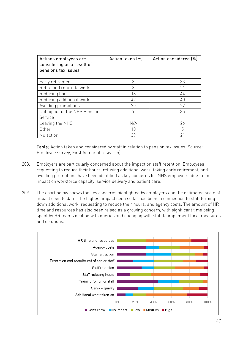| Actions employees are<br>considering as a result of<br>pensions tax issues | Action taken (%) | Action considered [%] |
|----------------------------------------------------------------------------|------------------|-----------------------|
| Early retirement                                                           | 3                | 33                    |
| Retire and return to work                                                  | 3                | 21                    |
| Reducing hours                                                             | 18               | 44                    |
| Reducing additional work                                                   | 42               | 40                    |
| Avoiding promotions                                                        | 20               | 27                    |
| Opting out of the NHS Pension                                              | 9                | 35                    |
| Service                                                                    |                  |                       |
| Leaving the NHS                                                            | N/A              | 26                    |
| Other                                                                      | 10               | 5                     |
| No action                                                                  | 39               | 21                    |

Table: Action taken and considered by staff in relation to pension tax issues (Source: Employee survey, First Actuarial research)

- 208. Employers are particularly concerned about the impact on staff retention. Employees requesting to reduce their hours, refusing additional work, taking early retirement, and avoiding promotions have been identified as key concerns for NHS employers, due to the impact on workforce capacity, service delivery and patient care.
- 209. The chart below shows the key concerns highlighted by employers and the estimated scale of impact seen to date. The highest impact seen so far has been in connection to staff turning down additional work, requesting to reduce their hours, and agency costs. The amount of HR time and resources has also been raised as a growing concern, with significant time being spent by HR teams dealing with queries and engaging with staff to implement local measures and solutions.

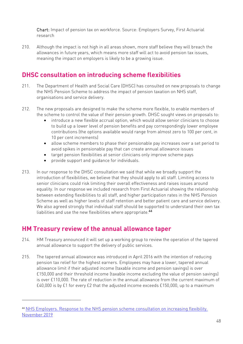Chart: Impact of pension tax on workforce. Source: Employers Survey, First Actuarial research

210. Although the impact is not high in all areas shown, more staff believe they will breach the allowances in future years, which means more staff will act to avoid pension tax issues, meaning the impact on employers is likely to be a growing issue.

### **DHSC consultation on introducing scheme flexibilities**

- 211. The Department of Health and Social Care (DHSC) has consulted on new proposals to change the NHS Pension Scheme to address the impact of pension taxation on NHS staff, organisations and service delivery.
- 212. The new proposals are designed to make the scheme more flexible, to enable members of the scheme to control the value of their pension growth. DHSC sought views on proposals to:
	- introduce a new flexible accrual option, which would allow senior clinicians to choose to build up a lower level of pension benefits and pay correspondingly lower employee contributions (the options available would range from almost zero to 100 per cent, in 10 per cent increments)
	- allow scheme members to phase their pensionable pay increases over a set period to avoid spikes in pensionable pay that can create annual allowance issues
	- target pension flexibilities at senior clinicians only improve scheme pays
	- provide support and guidance for individuals.
- 213. In our response to the DHSC consultation we said that while we broadly support the introduction of flexibilities, we believe that they should apply to all staff. Limiting access to senior clinicians could risk limiting their overall effectiveness and raises issues around equality. In our response we included research from First Actuarial showing the relationship between extending flexibilities to all staff, and higher participation rates in the NHS Pension Scheme as well as higher levels of staff retention and better patient care and service delivery. We also agreed strongly that individual staff should be supported to understand their own tax liabilities and use the new flexibilities where appropriate.<sup>44</sup>

#### **HM Treasury review of the annual allowance taper**

- 214. HM Treasury announced it will set up a working group to review the operation of the tapered annual allowance to support the delivery of public services.
- 215. The tapered annual allowance was introduced in April 2016 with the intention of reducing pension tax relief for the highest earners. Employees may have a lower, tapered annual allowance limit if their adjusted income (taxable income and pension savings) is over £150,000 and their threshold income (taxable income excluding the value of pension savings) is over £110,000. The rate of reduction in the annual allowance from the current maximum of £40,000 is by £1 for every £2 that the adjusted income exceeds £150,000, up to a maximum

<sup>44</sup> NHS Employers. Response to the NHS pension scheme consultation on increasing flexibility. November 2019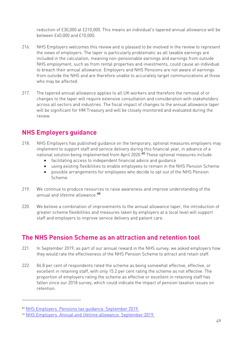reduction of £30,000 at £210,000. This means an individual's tapered annual allowance will be between £40,000 and £10,000.

- 216. NHS Employers welcomes this review and is pleased to be involved in the review to represent the views of employers. The taper is particularly problematic as all taxable earnings are included in the calculation, meaning non-pensionable earnings and earnings from outside NHS employment, such as from rental properties and investments, could cause an individual to breach their annual allowance. Employers and NHS Pensions are not aware of earnings from outside the NHS and are therefore unable to accurately target communications at those who may be affected.
- 217. The tapered annual allowance applies to all UK workers and therefore the removal of or changes to the taper will require extensive consultation and consideration with stakeholders across all sectors and industries. The fiscal impact of changes to the annual allowance taper will be significant for HM Treasury and will be closely monitored and evaluated during the review.

### **NHS Employers guidance**

- 218. NHS Employers has published guidance on the temporary, optional measures employers may implement to support staff and service delivery during this financial year, in advance of a national solution being implemented from April 2020.45 These optional measures include:
	- facilitating access to independent financial advice and quidance
	- using existing flexibilities to enable employees to remain in the NHS Pension Scheme
	- possible arrangements for employees who decide to opt out of the NHS Pension Scheme.
- 219. We continue to produce resources to raise awareness and improve understanding of the annual and lifetime allowance.<sup>46</sup>
- 220. We believe a combination of improvements to the annual allowance taper, the introduction of greater scheme flexibilities and measures taken by employers at a local level will support staff and employers to improve service delivery and patient care.

#### **The NHS Pension Scheme as an attraction and retention tool**

- 221. In September 2019, as part of our annual reward in the NHS survey, we asked employers how they would rate the effectiveness of the NHS Pension Scheme to attract and retain staff.
- 222. 84.8 per cent of respondents rated the scheme as being somewhat effective, effective, or excellent in retaining staff, with only 15.2 per cent rating the scheme as not effective. The proportion of employers rating the scheme as effective or excellent in retaining staff has fallen since our 2018 survey, which could indicate the impact of pension taxation issues on retention.

<sup>45</sup> NHS Employers. Pensions tax guidance. September 2019.

<sup>46</sup> NHS Employers. Annual and lifetime allowance. September 2019.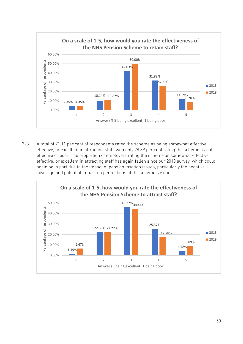

223. A total of 71.11 per cent of respondents rated the scheme as being somewhat effective, effective, or excellent in attracting staff, with only 28.89 per cent rating the scheme as not effective or poor. The proportion of employers rating the scheme as somewhat effective, effective, or excellent in attracting staff has again fallen since our 2018 survey, which could again be in part due to the impact of pension taxation issues, particularly the negative coverage and potential impact on perceptions of the scheme's value.

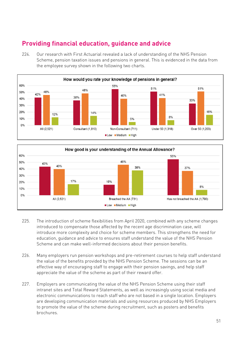### **Providing financial education, guidance and advice**

224. Our research with First Actuarial revealed a lack of understanding of the NHS Pension Scheme, pension taxation issues and pensions in general. This is evidenced in the data from the employee survey shown in the following two charts.





- 225. The introduction of scheme flexibilities from April 2020, combined with any scheme changes introduced to compensate those affected by the recent age discrimination case, will introduce more complexity and choice for scheme members. This strengthens the need for education, guidance and advice to ensures staff understand the value of the NHS Pension Scheme and can make well-informed decisions about their pension benefits.
- 226. Many employers run pension workshops and pre-retirement courses to help staff understand the value of the benefits provided by the NHS Pension Scheme. The sessions can be an effective way of encouraging staff to engage with their pension savings, and help staff appreciate the value of the scheme as part of their reward offer.
- 227. Employers are communicating the value of the NHS Pension Scheme using their staff intranet sites and Total Reward Statements, as well as increasingly using social media and electronic communications to reach staff who are not based in a single location. Employers are developing communication materials and using resources produced by NHS Employers to promote the value of the scheme during recruitment, such as posters and benefits brochures.